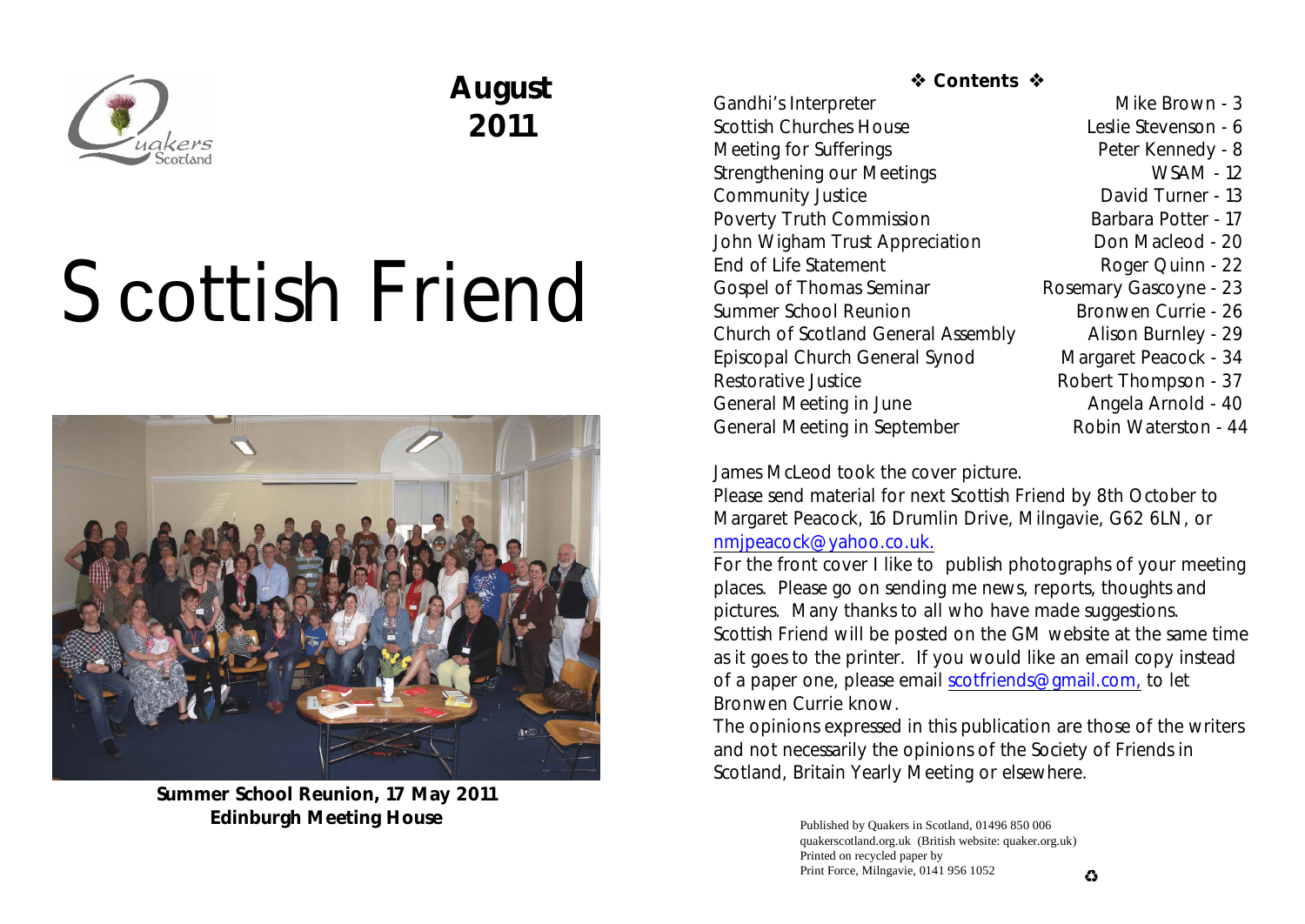

## **August 2011**

# Scottish Friend



**Summer School Reunion, 17 May 2011 Edinburgh Meeting House**

### *S* Contents  $\hat{\textbf{w}}$

Gandhi's Interpreter Mike Brown - 3 Scottish Churches House Leslie Stevenson - 6 Meeting for Sufferings **Peter Kennedy - 8** Strengthening our Meetings WSAM - 12 Community Justice David Turner - 13 Poverty Truth Commission Barbara Potter - 17 John Wigham Trust Appreciation **Don Macleod** - 20 End of Life Statement Roger Quinn - 22 Gospel of Thomas Seminar Rosemary Gascoyne - 23 Summer School Reunion Bronwen Currie - 26 Church of Scotland General Assembly Alison Burnley - 29 Episcopal Church General Synod Margaret Peacock - 34 Restorative Justice **Robert Thompson** - 37 General Meeting in June **Angela Arnold - 40** General Meeting in September Robin Waterston - 44

James McLeod took the cover picture.

Please send material for next *Scottish Friend* by 8th October to Margaret Peacock, 16 Drumlin Drive, Milngavie, G62 6LN, or [nmjpeacock@yahoo.co.uk.](mailto:nmjpeacock@yahoo.co.uk.)

For the front cover I like to publish photographs of your meeting places. Please go on sending me news, reports, thoughts and pictures. Many thanks to all who have made suggestions. *Scottish Friend* will be posted on the GM website at the same time as it goes to the printer. If you would like an email copy instead of a paper one, please email [scotfriends@gmail.com,](mailto:scotfriends@aol.com,) to let Bronwen Currie know.

The opinions expressed in this publication are those of the writers and not necessarily the opinions of the Society of Friends in Scotland, Britain Yearly Meeting or elsewhere.

> Published by Quakers in Scotland, 01496 850 006 quakerscotland.org.uk (British website: quaker.org.uk) Printed on recycled paper by Print Force, Milngavie, 0141 956 1052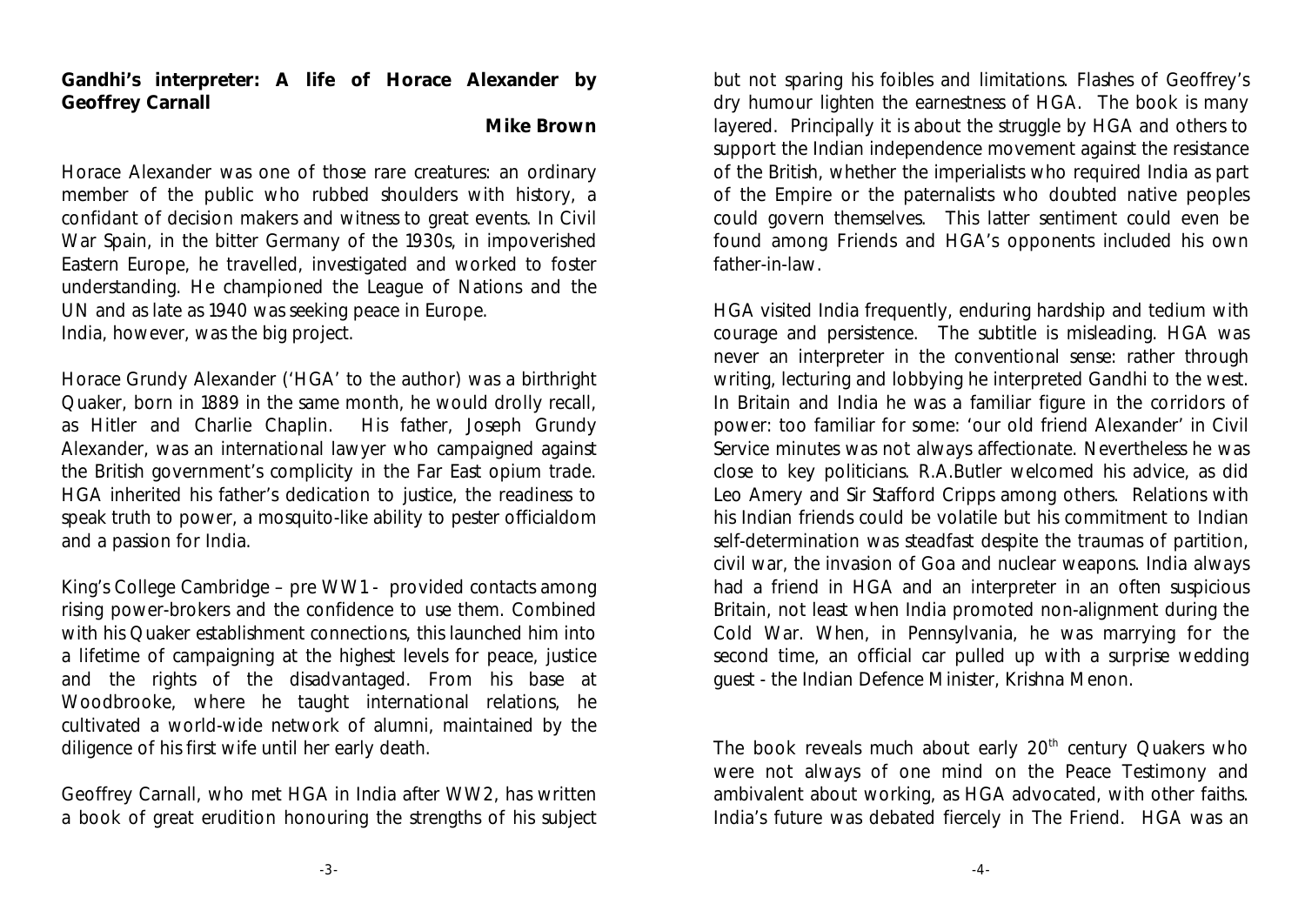**Gandhi's interpreter: A life of Horace Alexander by Geoffrey Carnall**

**Mike Brown**

Horace Alexander was one of those rare creatures: an ordinary member of the public who rubbed shoulders with history, a confidant of decision makers and witness to great events. In Civil War Spain, in the bitter Germany of the 1930s, in impoverished Eastern Europe, he travelled, investigated and worked to foster understanding. He championed the League of Nations and the UN and as late as 1940 was seeking peace in Europe. India, however, was the big project.

Horace Grundy Alexander ('HGA' to the author) was a birthright Quaker, born in 1889 in the same month, he would drolly recall, as Hitler and Charlie Chaplin. His father, Joseph Grundy Alexander, was an international lawyer who campaigned against the British government's complicity in the Far East opium trade. HGA inherited his father's dedication to justice, the readiness to speak truth to power, a mosquito-like ability to pester officialdom and a passion for India.

King's College Cambridge – pre WW1 - provided contacts among rising power-brokers and the confidence to use them. Combined with his Quaker establishment connections, this launched him into a lifetime of campaigning at the highest levels for peace, justice and the rights of the disadvantaged. From his base at Woodbrooke, where he taught international relations, he cultivated a world-wide network of alumni, maintained by the diligence of his first wife until her early death.

Geoffrey Carnall, who met HGA in India after WW2, has written a book of great erudition honouring the strengths of his subject

but not sparing his foibles and limitations. Flashes of Geoffrey's dry humour lighten the earnestness of HGA. The book is many layered. Principally it is about the struggle by HGA and others to support the Indian independence movement against the resistance of the British, whether the imperialists who required India as part of the Empire or the paternalists who doubted native peoples could govern themselves. This latter sentiment could even be found among Friends and HGA's opponents included his own father-in-law.

HGA visited India frequently, enduring hardship and tedium with courage and persistence. The subtitle is misleading. HGA was never an interpreter in the conventional sense: rather through writing, lecturing and lobbying he interpreted Gandhi to the west. In Britain and India he was a familiar figure in the corridors of power: too familiar for some: 'our old friend Alexander' in Civil Service minutes was not always affectionate. Nevertheless he was close to key politicians. R.A.Butler welcomed his advice, as did Leo Amery and Sir Stafford Cripps among others. Relations with his Indian friends could be volatile but his commitment to Indian self-determination was steadfast despite the traumas of partition, civil war, the invasion of Goa and nuclear weapons. India always had a friend in HGA and an interpreter in an often suspicious Britain, not least when India promoted non-alignment during the Cold War. When, in Pennsylvania, he was marrying for the second time, an official car pulled up with a surprise wedding guest - the Indian Defence Minister, Krishna Menon.

The book reveals much about early  $20<sup>th</sup>$  century Quakers who were not always of one mind on the Peace Testimony and ambivalent about working, as HGA advocated, with other faiths. India's future was debated fiercely in *The Friend*. HGA was an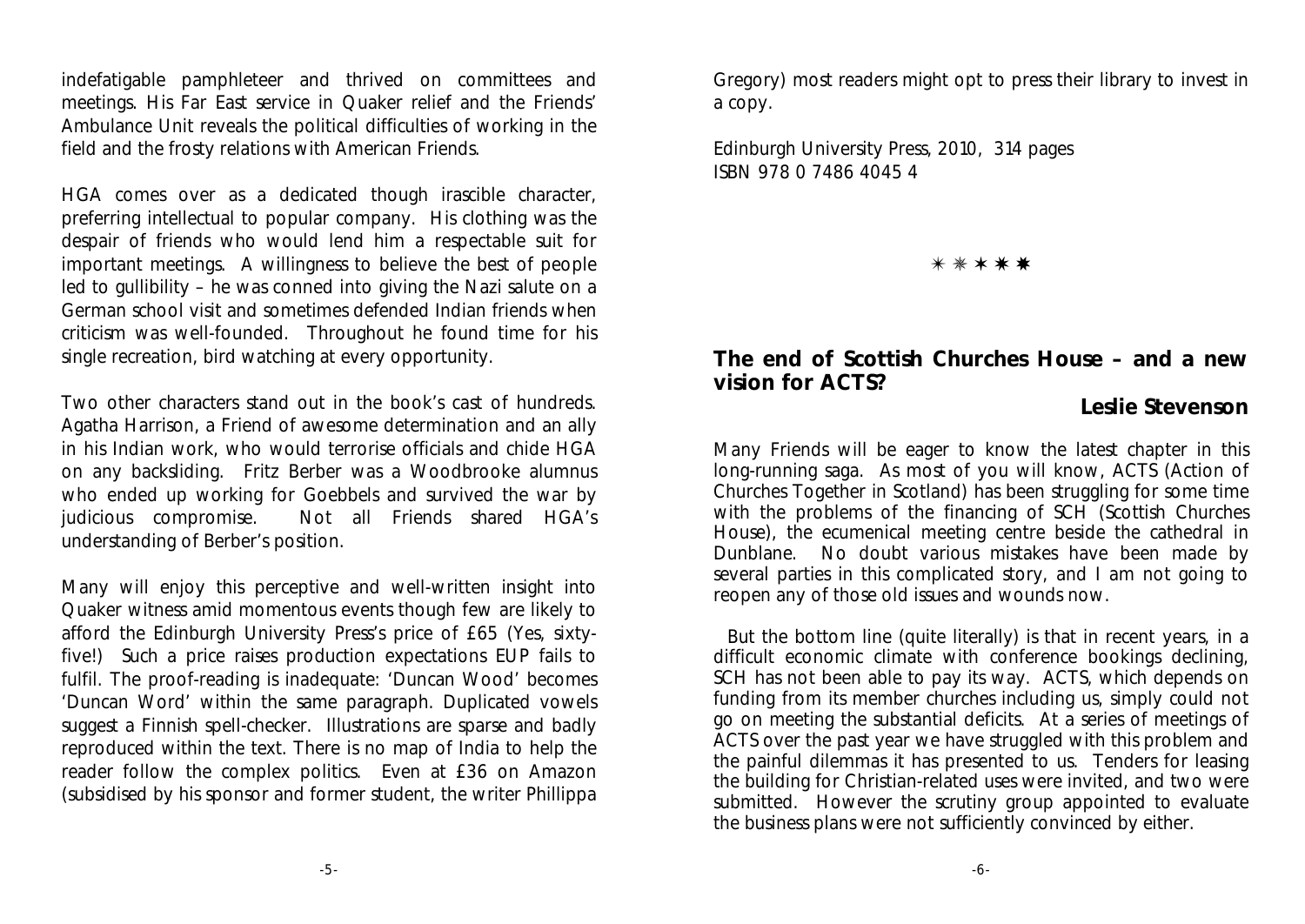indefatigable pamphleteer and thrived on committees and meetings. His Far East service in Quaker relief and the Friends' Ambulance Unit reveals the political difficulties of working in the field and the frosty relations with American Friends.

HGA comes over as a dedicated though irascible character, preferring intellectual to popular company. His clothing was the despair of friends who would lend him a respectable suit for important meetings. A willingness to believe the best of people led to gullibility – he was conned into giving the Nazi salute on a German school visit and sometimes defended Indian friends when criticism was well-founded. Throughout he found time for his single recreation, bird watching at every opportunity.

Two other characters stand out in the book's cast of hundreds. Agatha Harrison, a Friend of awesome determination and an ally in his Indian work, who would terrorise officials and chide HGA on any backsliding. Fritz Berber was a Woodbrooke alumnus who ended up working for Goebbels and survived the war by judicious compromise. Not all Friends shared HGA's understanding of Berber's position.

Many will enjoy this perceptive and well-written insight into Quaker witness amid momentous events though few are likely to afford the Edinburgh University Press's price of £65 (Yes, sixtyfive!) Such a price raises production expectations EUP fails to fulfil. The proof-reading is inadequate: 'Duncan Wood' becomes 'Duncan Word' within the same paragraph. Duplicated vowels suggest a Finnish spell-checker. Illustrations are sparse and badly reproduced within the text. There is no map of India to help the reader follow the complex politics. Even at £36 on Amazon (subsidised by his sponsor and former student, the writer Phillippa

Gregory) most readers might opt to press their library to invest in a copy.

Edinburgh University Press, 2010, 314 pages ISBN 978 0 7486 4045 4

u v w x y

**The end of Scottish Churches House – and a new vision for ACTS?**

### **Leslie Stevenson**

Many Friends will be eager to know the latest chapter in this long-running saga. As most of you will know, ACTS (Action of Churches Together in Scotland) has been struggling for some time with the problems of the financing of SCH (Scottish Churches House), the ecumenical meeting centre beside the cathedral in Dunblane. No doubt various mistakes have been made by several parties in this complicated story, and I am not going to reopen any of those old issues and wounds now.

But the bottom line (quite literally) is that in recent years, in a difficult economic climate with conference bookings declining, SCH has not been able to pay its way. ACTS, which depends on funding from its member churches including us, simply could not go on meeting the substantial deficits. At a series of meetings of ACTS over the past year we have struggled with this problem and the painful dilemmas it has presented to us. Tenders for leasing the building for Christian-related uses were invited, and two were submitted. However the scrutiny group appointed to evaluate the business plans were not sufficiently convinced by either.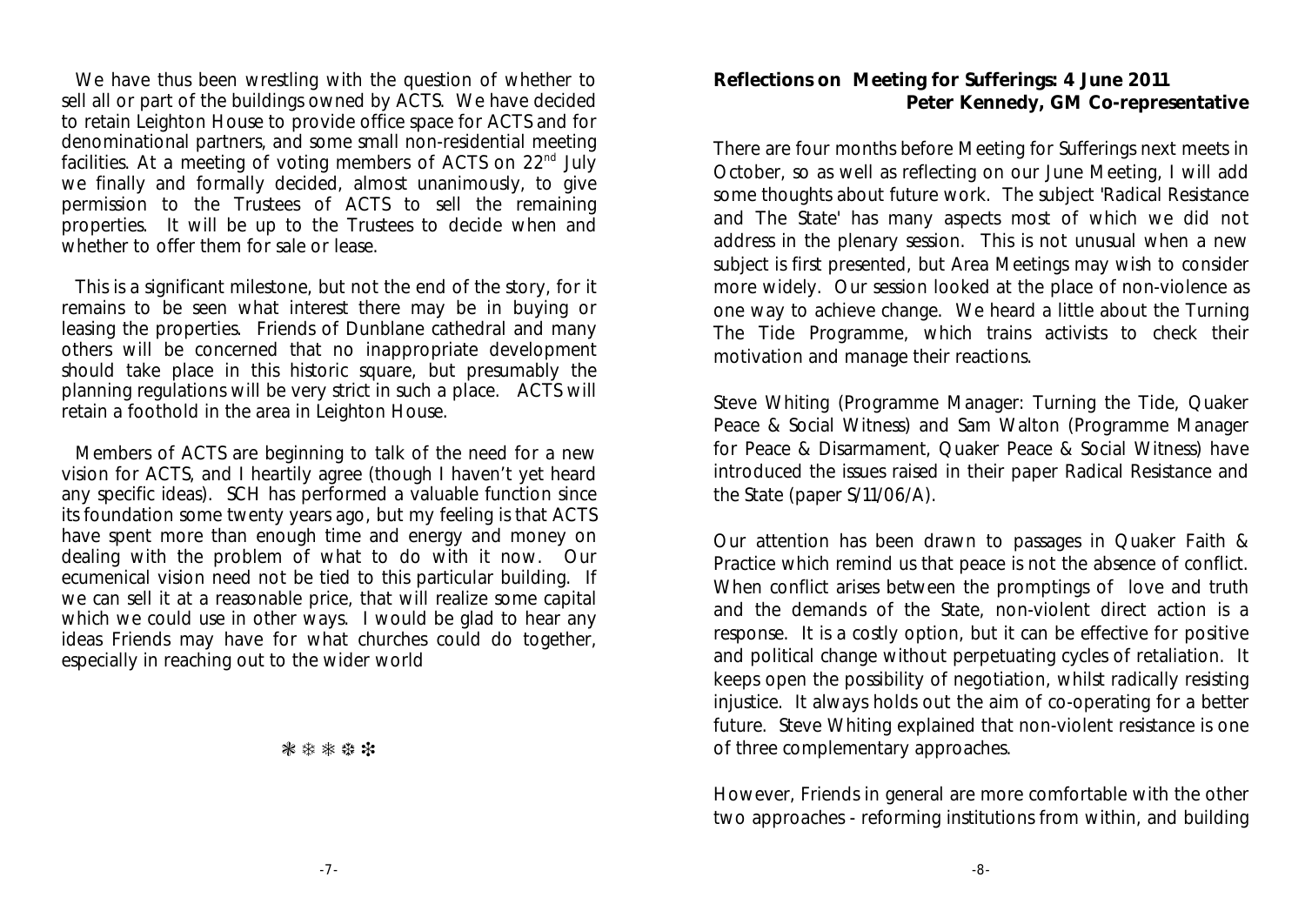We have thus been wrestling with the question of whether to sell all or part of the buildings owned by ACTS. We have decided to retain Leighton House to provide office space for ACTS and for denominational partners, and some small non-residential meeting facilities. At a meeting of voting members of ACTS on  $22<sup>nd</sup>$  July we finally and formally decided, almost unanimously, to give permission to the Trustees of ACTS to sell the remaining properties. It will be up to the Trustees to decide when and whether to offer them for sale or lease.

This is a significant milestone, but not the end of the story, for it remains to be seen what interest there may be in buying or leasing the properties. Friends of Dunblane cathedral and many others will be concerned that no inappropriate development should take place in this historic square, but presumably the planning regulations will be very strict in such a place. ACTS will retain a foothold in the area in Leighton House.

Members of ACTS are beginning to talk of the need for a new vision for ACTS, and I heartily agree (though I haven't yet heard any specific ideas). SCH has performed a valuable function since its foundation some twenty years ago, but my feeling is that ACTS have spent more than enough time and energy and money on dealing with the problem of what to do with it now. Our ecumenical vision need not be tied to this particular building. If we can sell it at a reasonable price, that will realize some capital which we could use in other ways. I would be glad to hear any ideas Friends may have for what churches could do together, especially in reaching out to the wider world

\*\*\*\*\*

**Reflections on Meeting for Sufferings: 4 June 2011 Peter Kennedy, GM Co-representative**

There are four months before Meeting for Sufferings next meets in October, so as well as reflecting on our June Meeting, I will add some thoughts about future work. The subject 'Radical Resistance and The State' has many aspects most of which we did not address in the plenary session. This is not unusual when a new subject is first presented, but Area Meetings may wish to consider more widely. Our session looked at the place of non-violence as one way to achieve change. We heard a little about the Turning The Tide Programme, which trains activists to check their motivation and manage their reactions.

Steve Whiting (Programme Manager: Turning the Tide, Quaker Peace & Social Witness) and Sam Walton (Programme Manager for Peace & Disarmament, Quaker Peace & Social Witness) have introduced the issues raised in their paper Radical Resistance and the State (paper S/11/06/A).

Our attention has been drawn to passages in Quaker Faith & Practice which remind us that peace is not the absence of conflict. When conflict arises between the promptings of love and truth and the demands of the State, non-violent direct action is a response. It is a costly option, but it can be effective for positive and political change without perpetuating cycles of retaliation. It keeps open the possibility of negotiation, whilst radically resisting injustice. It always holds out the aim of co-operating for a better future. Steve Whiting explained that non-violent resistance is one of three complementary approaches.

However, Friends in general are more comfortable with the other two approaches - reforming institutions from within, and building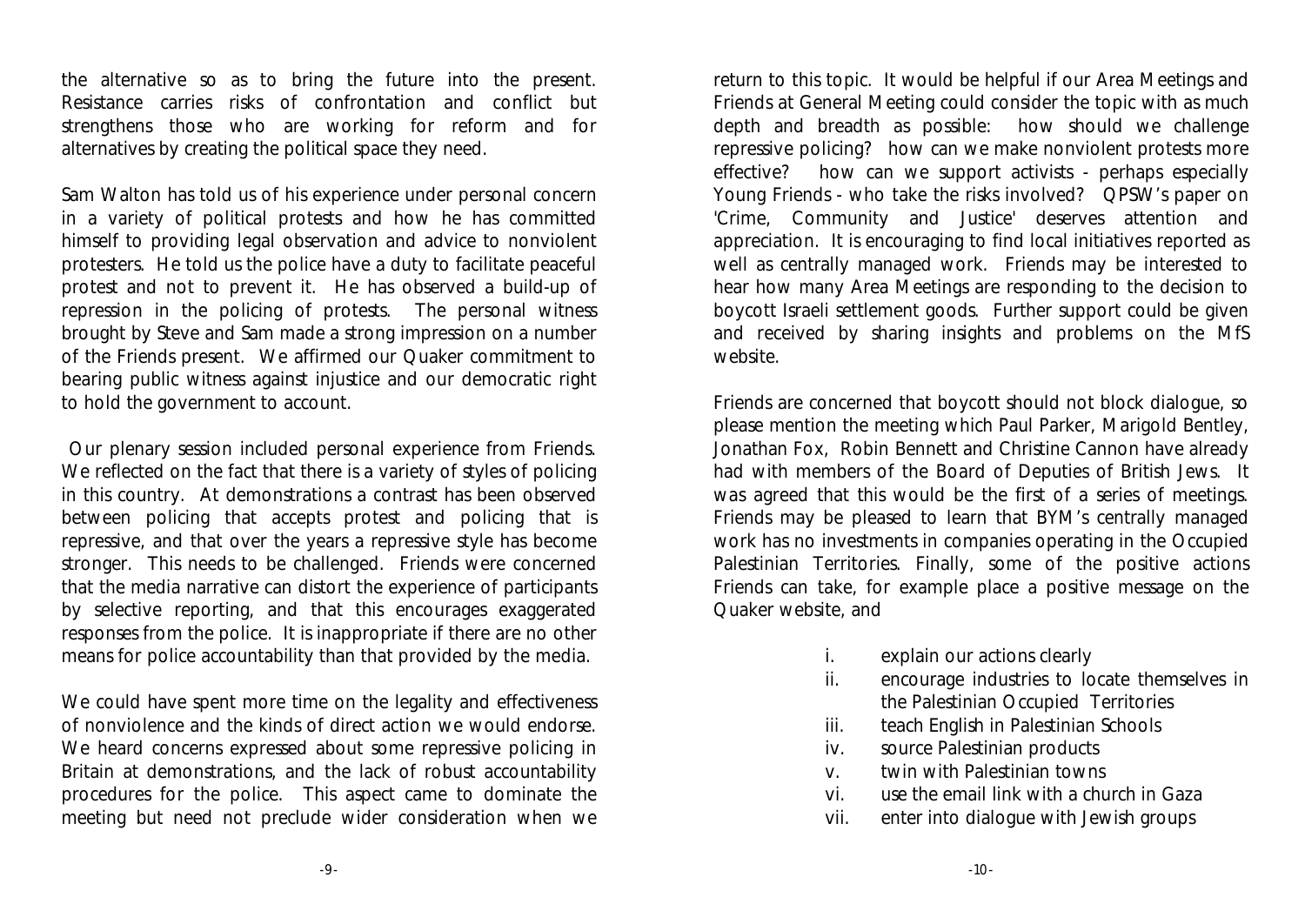the alternative so as to bring the future into the present. Resistance carries risks of confrontation and conflict but strengthens those who are working for reform and for alternatives by creating the political space they need.

Sam Walton has told us of his experience under personal concern in a variety of political protests and how he has committed himself to providing legal observation and advice to nonviolent protesters. He told us the police have a duty to facilitate peaceful protest and not to prevent it. He has observed a build-up of repression in the policing of protests. The personal witness brought by Steve and Sam made a strong impression on a number of the Friends present. We affirmed our Quaker commitment to bearing public witness against injustice and our democratic right to hold the government to account.

 Our plenary session included personal experience from Friends. We reflected on the fact that there is a variety of styles of policing in this country. At demonstrations a contrast has been observed between policing that accepts protest and policing that is repressive, and that over the years a repressive style has become stronger. This needs to be challenged. Friends were concerned that the media narrative can distort the experience of participants by selective reporting, and that this encourages exaggerated responses from the police. It is inappropriate if there are no other means for police accountability than that provided by the media.

We could have spent more time on the legality and effectiveness of nonviolence and the kinds of direct action we would endorse. We heard concerns expressed about some repressive policing in Britain at demonstrations, and the lack of robust accountability procedures for the police. This aspect came to dominate the meeting but need not preclude wider consideration when we

return to this topic. It would be helpful if our Area Meetings and Friends at General Meeting could consider the topic with as much depth and breadth as possible: how should we challenge repressive policing? how can we make nonviolent protests more effective? how can we support activists - perhaps especially Young Friends - who take the risks involved? QPSW's paper on 'Crime, Community and Justice' deserves attention and appreciation. It is encouraging to find local initiatives reported as well as centrally managed work. Friends may be interested to hear how many Area Meetings are responding to the decision to boycott Israeli settlement goods. Further support could be given and received by sharing insights and problems on the MfS website.

Friends are concerned that boycott should not block dialogue, so please mention the meeting which Paul Parker, Marigold Bentley, Jonathan Fox, Robin Bennett and Christine Cannon have already had with members of the Board of Deputies of British Jews. It was agreed that this would be the first of a series of meetings. Friends may be pleased to learn that BYM's centrally managed work has no investments in companies operating in the Occupied Palestinian Territories. Finally, some of the positive actions Friends can take, for example place a positive message on the Quaker website, and

- i. explain our actions clearly
- ii. encourage industries to locate themselves in the Palestinian Occupied Territories
- iii. teach English in Palestinian Schools
- iv. source Palestinian products
- v. twin with Palestinian towns
- vi. use the email link with a church in Gaza
- vii. enter into dialogue with Jewish groups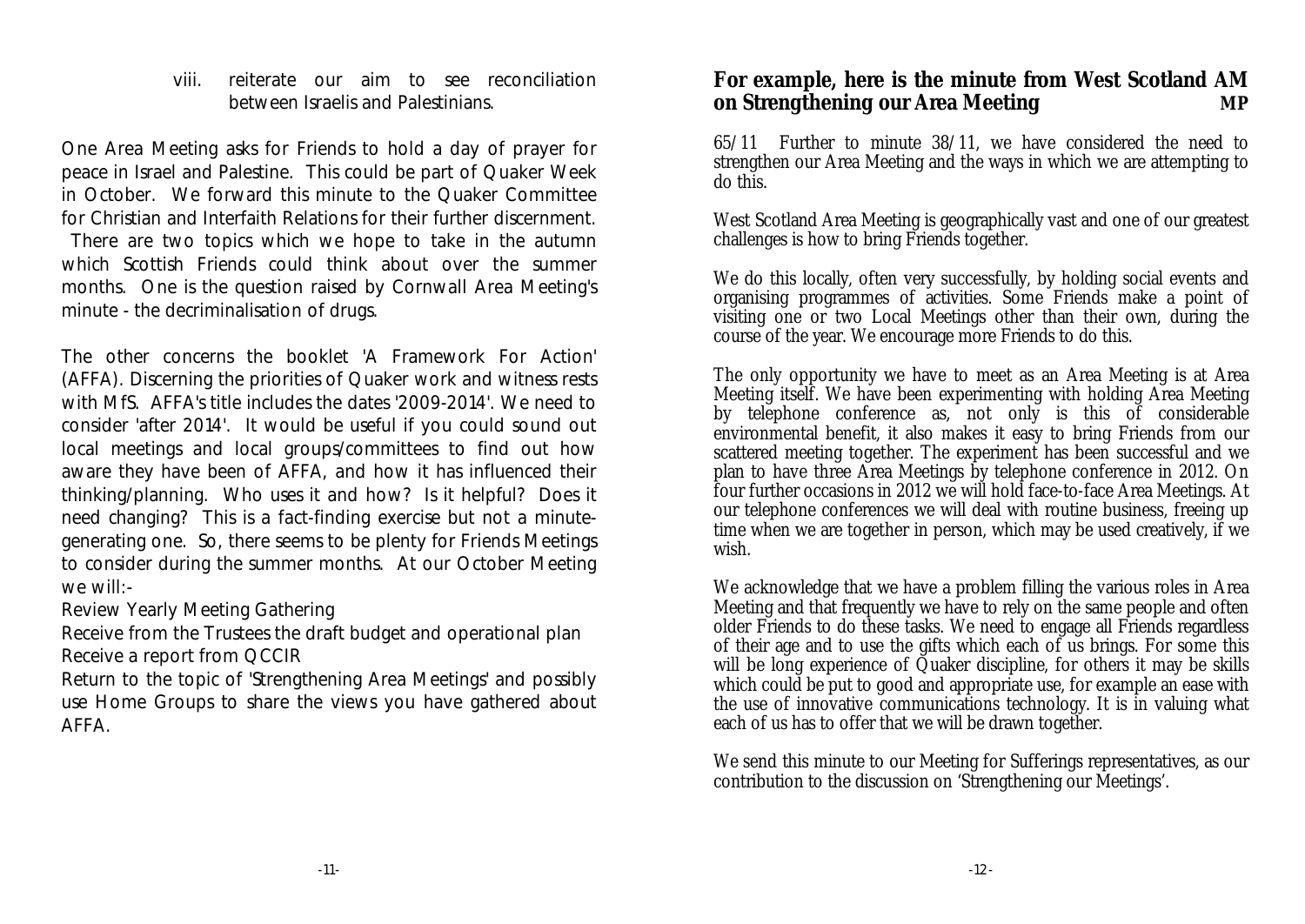viii. reiterate our aim to see reconciliation between Israelis and Palestinians.

One Area Meeting asks for Friends to hold a day of prayer for peace in Israel and Palestine. This could be part of Quaker Week in October. We forward this minute to the Quaker Committee for Christian and Interfaith Relations for their further discernment.

 There are two topics which we hope to take in the autumn which Scottish Friends could think about over the summer months. One is the question raised by Cornwall Area Meeting's minute - the decriminalisation of drugs.

The other concerns the booklet 'A Framework For Action' (AFFA). Discerning the priorities of Quaker work and witness rests with MfS. AFFA's title includes the dates '2009-2014'. We need to consider 'after 2014'. It would be useful if you could sound out local meetings and local groups/committees to find out how aware they have been of AFFA, and how it has influenced their thinking/planning. Who uses it and how? Is it helpful? Does it need changing? This is a fact-finding exercise but not a minutegenerating one. So, there seems to be plenty for Friends Meetings to consider during the summer months. At our October Meeting we will:-

Review Yearly Meeting Gathering

Receive from the Trustees the draft budget and operational plan Receive a report from QCCIR

Return to the topic of 'Strengthening Area Meetings' and possibly use Home Groups to share the views you have gathered about AFFA.

**For example, here is the minute from West Scotland AM on Strengthening our Area Meeting MP**

65/11 Further to minute 38/11, we have considered the need to strengthen our Area Meeting and the ways in which we are attempting to do this.

West Scotland Area Meeting is geographically vast and one of our greatest challenges is how to bring Friends together.

We do this locally, often very successfully, by holding social events and organising programmes of activities. Some Friends make a point of visiting one or two Local Meetings other than their own, during the course of the year. We encourage more Friends to do this.

The only opportunity we have to meet as an Area Meeting is at Area Meeting itself. We have been experimenting with holding Area Meeting by telephone conference as, not only is this of considerable environmental benefit, it also makes it easy to bring Friends from our scattered meeting together. The experiment has been successful and we plan to have three Area Meetings by telephone conference in 2012. On four further occasions in 2012 we will hold face-to-face Area Meetings. At our telephone conferences we will deal with routine business, freeing up time when we are together in person, which may be used creatively, if we wish.

We acknowledge that we have a problem filling the various roles in Area Meeting and that frequently we have to rely on the same people and often older Friends to do these tasks. We need to engage all Friends regardless of their age and to use the gifts which each of us brings. For some this will be long experience of Quaker discipline, for others it may be skills which could be put to good and appropriate use, for example an ease with the use of innovative communications technology. It is in valuing what each of us has to offer that we will be drawn together.

We send this minute to our Meeting for Sufferings representatives, as our contribution to the discussion on 'Strengthening our Meetings'.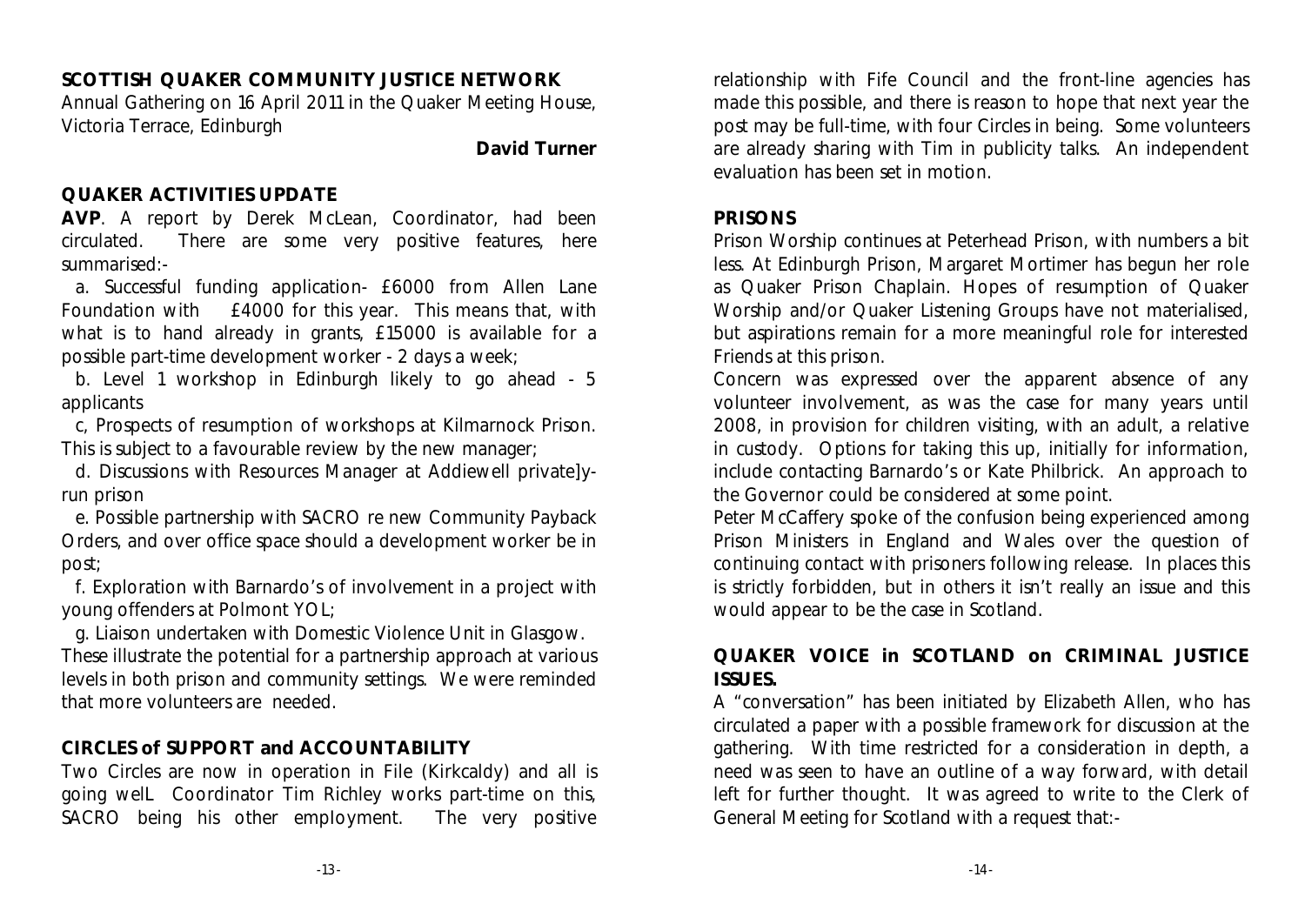**SCOTTISH QUAKER COMMUNITY JUSTICE NETWORK** Annual Gathering on 16 April 2011 in the Quaker Meeting House, Victoria Terrace, Edinburgh

**David Turner**

### **QUAKER ACTIVITIES UPDATE**

**AVP**. A report by Derek McLean, Coordinator, had been circulated. There are some very positive features, here summarised:-

a. Successful funding application- £6000 from Allen Lane Foundation with £4000 for this year. This means that, with what is to hand already in grants, £15000 is available for a possible part-time development worker - 2 days a week;

b. Level 1 workshop in Edinburgh likely to go ahead - 5 applicants

c, Prospects of resumption of workshops at Kilmarnock Prison. This is subject to a favourable review by the new manager;

d. Discussions with Resources Manager at Addiewell private]yrun prison

e. Possible partnership with SACRO re new Community Payback Orders, and over office space should a development worker be in post;

f. Exploration with Barnardo's of involvement in a project with young offenders at Polmont YOL;

g. Liaison undertaken with Domestic Violence Unit in Glasgow. These illustrate the potential for a partnership approach at various levels in both prison and community settings. We were reminded that more volunteers are needed.

### **CIRCLES of SUPPORT and ACCOUNTABILITY**

Two Circles are now in operation in File (Kirkcaldy) and all is going welL Coordinator Tim Richley works part-time on this, SACRO being his other empIoyment. The very positive relationship with Fife Council and the front-line agencies has made this possible, and there is reason to hope that next year the post may be full-time, with four Circles in being. Some volunteers are already sharing with Tim in publicity talks. An independent evaluation has been set in motion.

### **PRISONS**

Prison Worship continues at Peterhead Prison, with numbers a bit less. At Edinburgh Prison, Margaret Mortimer has begun her role as Quaker Prison Chaplain. Hopes of resumption of Quaker Worship and/or Quaker Listening Groups have not materialised, but aspirations remain for a more meaningful role for interested Friends at this prison.

Concern was expressed over the apparent absence of any volunteer involvement, as was the case for many years until 2008, in provision for children visiting, with an adult, a relative in custody. Options for taking this up, initially for information, include contacting Barnardo's or Kate Philbrick. An approach to the Governor could be considered at some point.

Peter McCaffery spoke of the confusion being experienced among Prison Ministers in England and Wales over the question of continuing contact with prisoners following release. In places this is strictly forbidden, but in others it isn't really an issue and this would appear to be the case in Scotland.

### **QUAKER VOICE in SCOTLAND on CRIMINAL JUSTICE ISSUES.**

A "conversation" has been initiated by Elizabeth Allen, who has circulated a paper with a possible framework for discussion at the gathering. With time restricted for a consideration in depth, a need was seen to have an outline of a way forward, with detail left for further thought. It was agreed to write to the Clerk of General Meeting for Scotland with a request that:-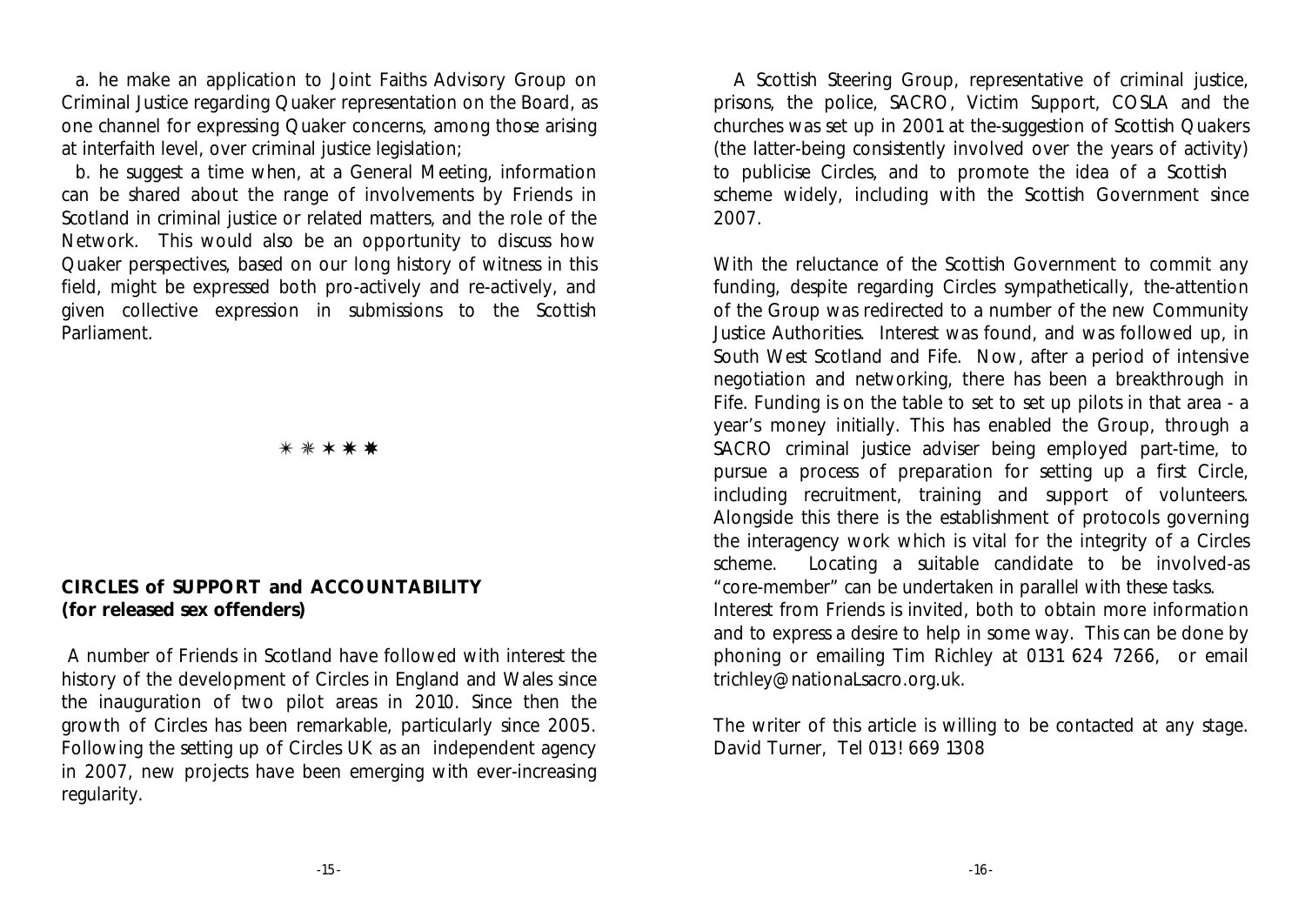a. he make an application to Joint Faiths Advisory Group on Criminal Justice regarding Quaker representation on the Board, as one channel for expressing Quaker concerns, among those arising at interfaith level, over criminal justice legislation;

b. he suggest a time when, at a General Meeting, information can be shared about the range of involvements by Friends in Scotland in criminal justice or related matters, and the role of the Network. This would also be an opportunity to discuss how Quaker perspectives, based on our long history of witness in this field, might be expressed both pro-actively and re-actively, and given collective expression in submissions to the Scottish Parliament.

 $\ast$   $\ast$   $\ast$   $\ast$   $\ast$ 

### **CIRCLES of SUPPORT and ACCOUNTABILITY (for released sex offenders)**

 A number of Friends in Scotland have followed with interest the history of the development of Circles in England and Wales since the inauguration of two pilot areas in 2010. Since then the growth of Circles has been remarkable, particularly since 2005. Following the setting up of Circles UK as an independent agency in 2007, new projects have been emerging with ever-increasing regularity.

 A Scottish Steering Group, representative of criminal justice, prisons, the police, SACRO, Victim Support, COSLA and the churches was set up in 2001 at the-suggestion of Scottish Quakers (the latter-being consistently involved over the years of activity) to publicise Circles, and to promote the idea of a Scottish scheme widely, including with the Scottish Government since 2007.

With the reluctance of the Scottish Government to commit any funding, despite regarding Circles sympathetically, the-attention of the Group was redirected to a number of the new Community Justice Authorities. Interest was found, and was followed up, in South West Scotland and Fife. Now, after a period of intensive negotiation and networking, there has been a breakthrough in Fife. Funding is on the table to set to set up pilots in that area - a year's money initially. This has enabled the Group, through a SACRO criminal justice adviser being employed part-time, to pursue a process of preparation for setting up a first Circle, including recruitment, training and support of volunteers. Alongside this there is the establishment of protocols governing the interagency work which is vital for the integrity of a Circles scheme. Locating a suitable candidate to be involved-as "core-member" can be undertaken in parallel with these tasks. Interest from Friends is invited, both to obtain more information and to express a desire to help in some way. This can be done by phoning or emailing Tim Richley at 0131 624 7266, or email trichley@nationaLsacro.org.uk.

The writer of this article is willing to be contacted at any stage. David Turner, Tel 013! 669 1308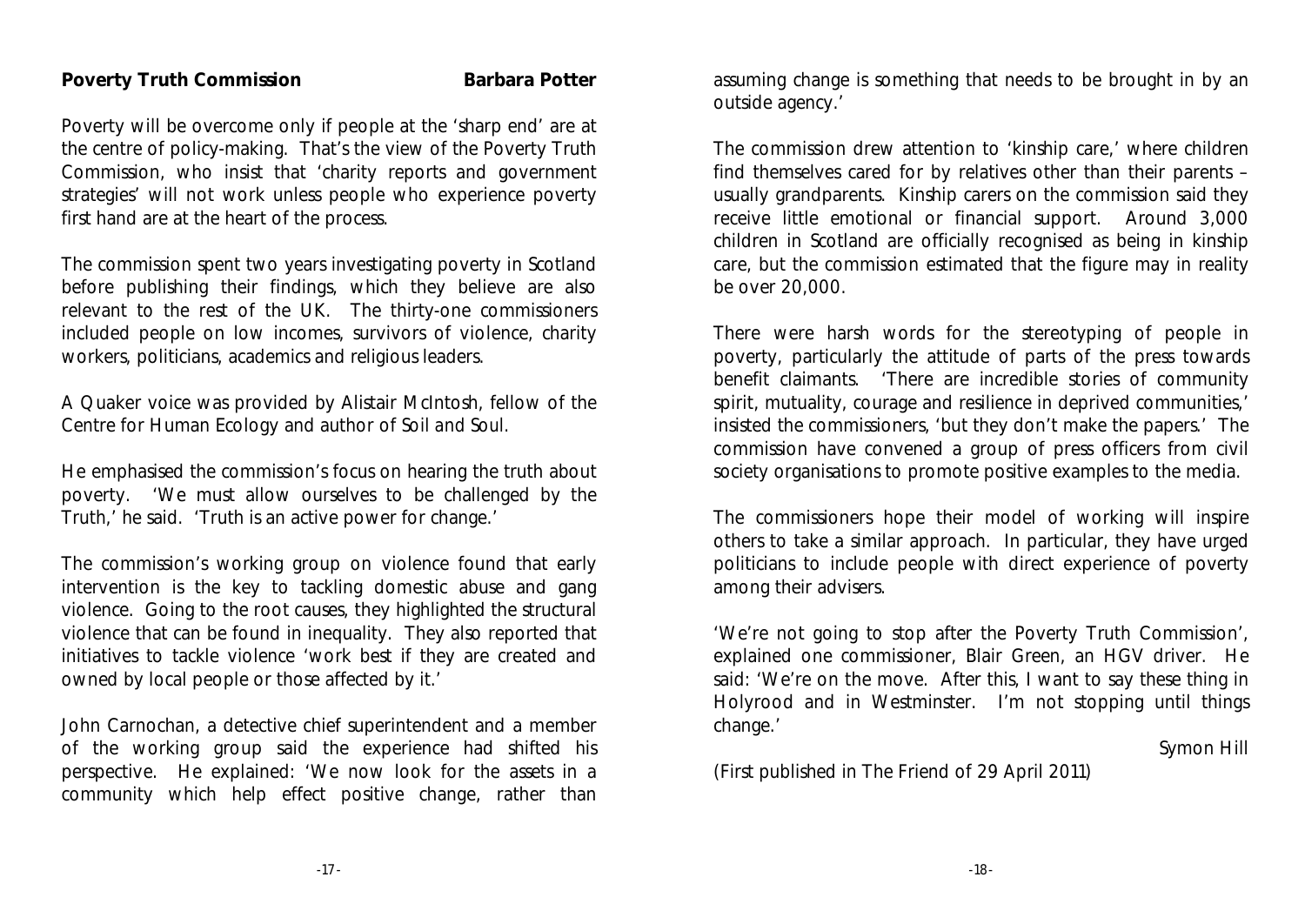### **Poverty Truth Commission** Barbara Potter

Poverty will be overcome only if people at the 'sharp end' are at the centre of policy-making. That's the view of the Poverty Truth Commission, who insist that 'charity reports and government strategies' will not work unless people who experience poverty first hand are at the heart of the process.

The commission spent two years investigating poverty in Scotland before publishing their findings, which they believe are also relevant to the rest of the UK. The thirty-one commissioners included people on low incomes, survivors of violence, charity workers, politicians, academics and religious leaders.

A Quaker voice was provided by Alistair McIntosh, fellow of the Centre for Human Ecology and author of *Soil and Soul.*

He emphasised the commission's focus on hearing the truth about poverty. 'We must allow ourselves to be challenged by the Truth,' he said. 'Truth is an active power for change.'

The commission's working group on violence found that early intervention is the key to tackling domestic abuse and gang violence. Going to the root causes, they highlighted the structural violence that can be found in inequality. They also reported that initiatives to tackle violence 'work best if they are created and owned by local people or those affected by it.'

John Carnochan, a detective chief superintendent and a member of the working group said the experience had shifted his perspective. He explained: 'We now look for the assets in a community which help effect positive change, rather than assuming change is something that needs to be brought in by an outside agency.'

The commission drew attention to 'kinship care,' where children find themselves cared for by relatives other than their parents – usually grandparents. Kinship carers on the commission said they receive little emotional or financial support. Around 3,000 children in Scotland are officially recognised as being in kinship care, but the commission estimated that the figure may in reality be over 20,000.

There were harsh words for the stereotyping of people in poverty, particularly the attitude of parts of the press towards benefit claimants. 'There are incredible stories of community spirit, mutuality, courage and resilience in deprived communities,' insisted the commissioners, 'but they don't make the papers.' The commission have convened a group of press officers from civil society organisations to promote positive examples to the media.

The commissioners hope their model of working will inspire others to take a similar approach. In particular, they have urged politicians to include people with direct experience of poverty among their advisers.

'We're not going to stop after the Poverty Truth Commission', explained one commissioner, Blair Green, an HGV driver. He said: 'We're on the move. After this, I want to say these thing in Holyrood and in Westminster. I'm not stopping until things change.'

### Symon Hill

(First published in The Friend of 29 April 2011)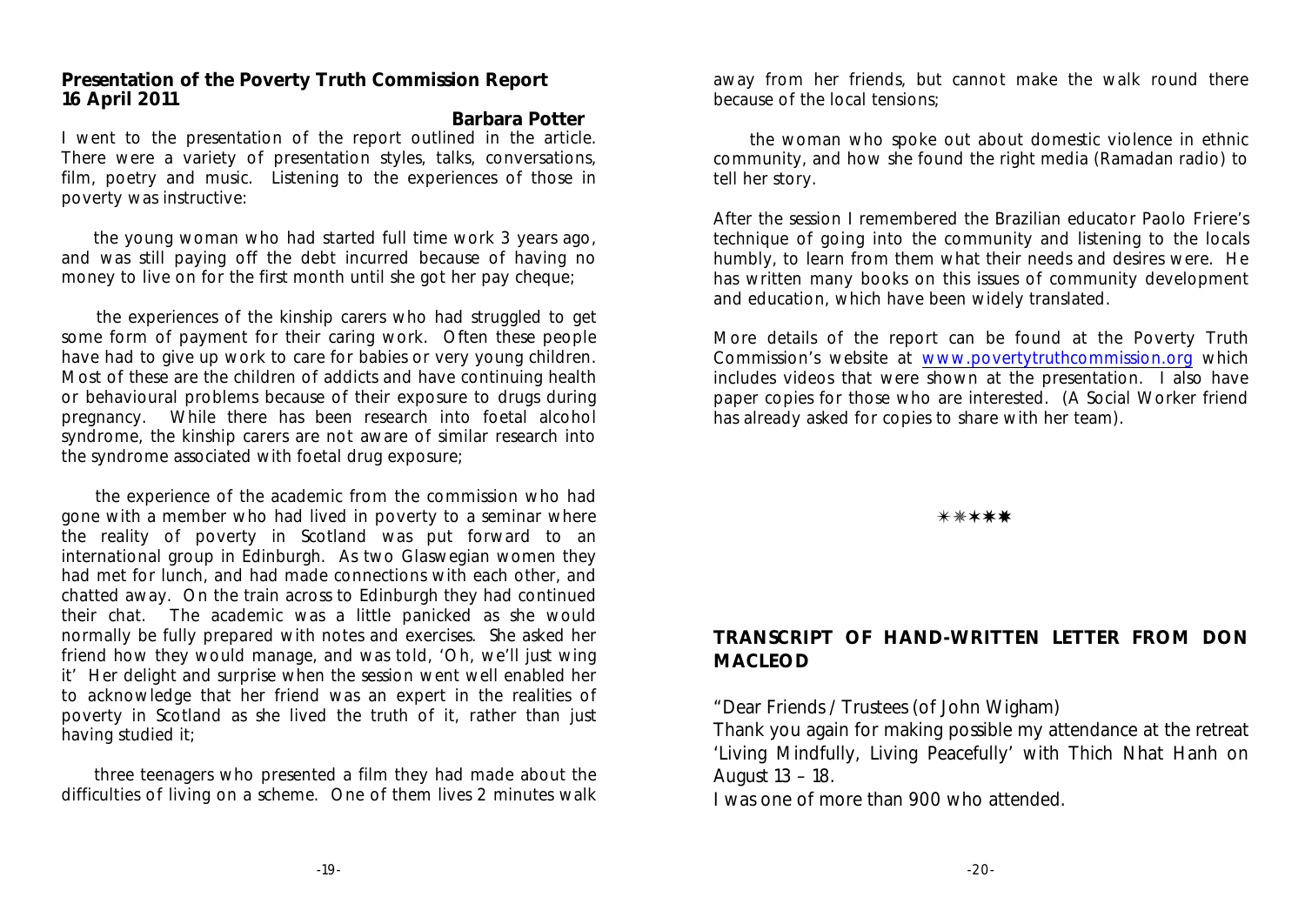### **Presentation of the Poverty Truth Commission Report 16 April 2011**

**Barbara Potter** I went to the presentation of the report outlined in the article. There were a variety of presentation styles, talks, conversations, film, poetry and music. Listening to the experiences of those in poverty was instructive:

 the young woman who had started full time work 3 years ago, and was still paying off the debt incurred because of having no money to live on for the first month until she got her pay cheque;

 the experiences of the kinship carers who had struggled to get some form of payment for their caring work. Often these people have had to give up work to care for babies or very young children. Most of these are the children of addicts and have continuing health or behavioural problems because of their exposure to drugs during pregnancy. While there has been research into foetal alcohol syndrome, the kinship carers are not aware of similar research into the syndrome associated with foetal drug exposure;

 the experience of the academic from the commission who had gone with a member who had lived in poverty to a seminar where the reality of poverty in Scotland was put forward to an international group in Edinburgh. As two Glaswegian women they had met for lunch, and had made connections with each other, and chatted away. On the train across to Edinburgh they had continued their chat. The academic was a little panicked as she would normally be fully prepared with notes and exercises. She asked her friend how they would manage, and was told, 'Oh, we'll just wing it' Her delight and surprise when the session went well enabled her to acknowledge that her friend was an expert in the realities of poverty in Scotland as she lived the truth of it, rather than just having studied it;

 three teenagers who presented a film they had made about the difficulties of living on a scheme. One of them lives 2 minutes walk

away from her friends, but cannot make the walk round there because of the local tensions;

 the woman who spoke out about domestic violence in ethnic community, and how she found the right media (Ramadan radio) to tell her story.

After the session I remembered the Brazilian educator Paolo Friere's technique of going into the community and listening to the locals humbly, to learn from them what their needs and desires were. He has written many books on this issues of community development and education, which have been widely translated.

More details of the report can be found at the Poverty Truth Commission's website at [www.povertytruthcommission.org](http://www.povertytruthcommission.org) which includes videos that were shown at the presentation. I also have paper copies for those who are interested. (A Social Worker friend has already asked for copies to share with her team).

### $*****$

### **TRANSCRIPT OF HAND-WRITTEN LETTER FROM DON MACLEOD**

"Dear Friends / Trustees (of John Wigham)

Thank you again for making possible my attendance at the retreat 'Living Mindfully, Living Peacefully' with Thich Nhat Hanh on August 13 – 18.

I was one of more than 900 who attended.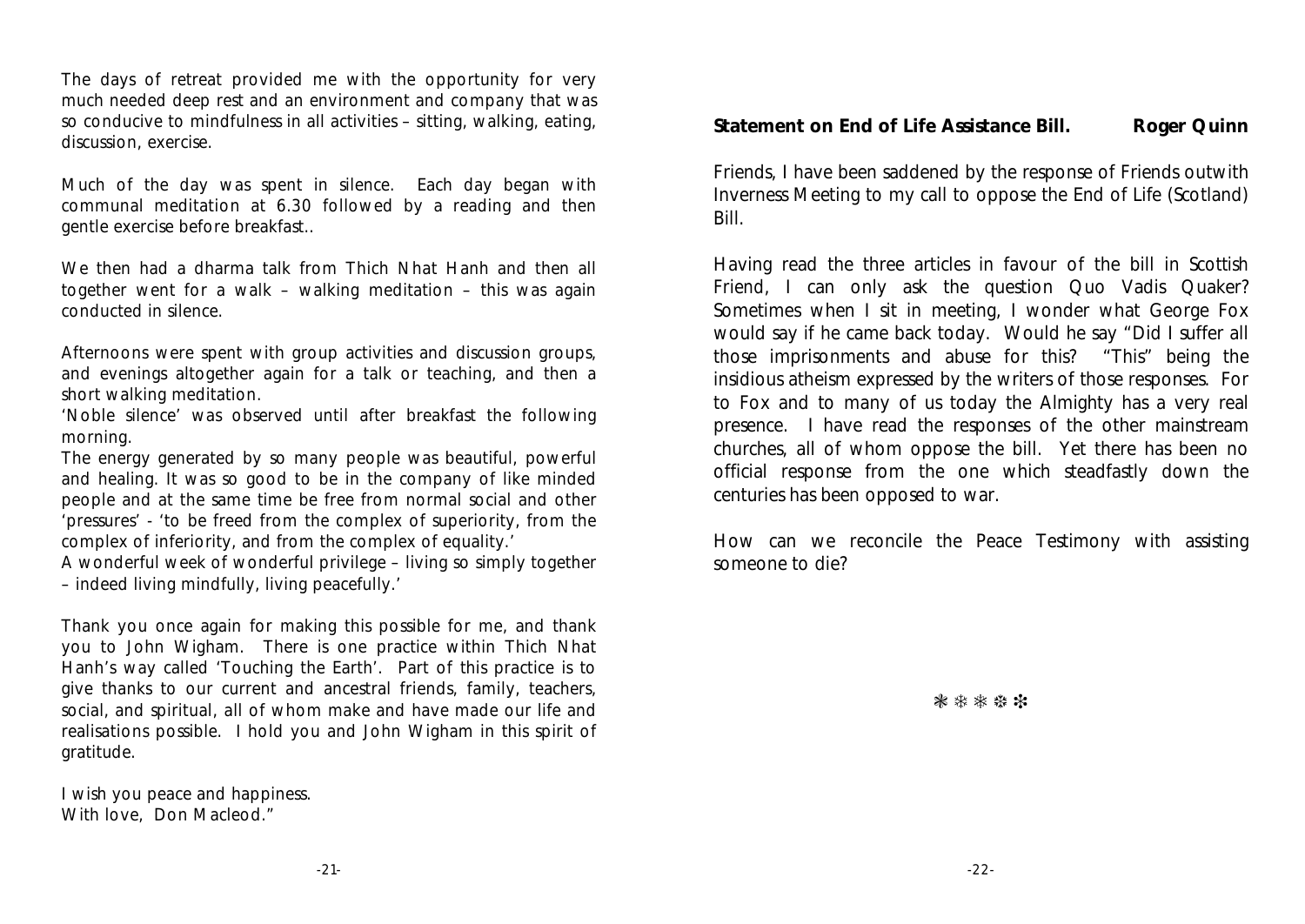The days of retreat provided me with the opportunity for very much needed deep rest and an environment and company that was so conducive to mindfulness in all activities – sitting, walking, eating, discussion, exercise.

Much of the day was spent in silence. Each day began with communal meditation at 6.30 followed by a reading and then gentle exercise before breakfast..

We then had a dharma talk from Thich Nhat Hanh and then all together went for a walk – walking meditation – this was again conducted in silence.

Afternoons were spent with group activities and discussion groups, and evenings altogether again for a talk or teaching, and then a short walking meditation.

'Noble silence' was observed until after breakfast the following morning.

The energy generated by so many people was beautiful, powerful and healing. It was so good to be in the company of like minded people and at the same time be free from normal social and other 'pressures' - 'to be freed from the complex of superiority, from the complex of inferiority, and from the complex of equality.'

A wonderful week of wonderful privilege – living so simply together – indeed living mindfully, living peacefully.'

Thank you once again for making this possible for me, and thank you to John Wigham. There is one practice within Thich Nhat Hanh's way called 'Touching the Earth'. Part of this practice is to give thanks to our current and ancestral friends, family, teachers, social, and spiritual, all of whom make and have made our life and realisations possible. I hold you and John Wigham in this spirit of gratitude.

I wish you peace and happiness. With love, Don Macleod."

**Statement on End of Life Assistance Bill.** Roger Quinn

Friends, I have been saddened by the response of Friends outwith Inverness Meeting to my call to oppose the End of Life (Scotland) Bill.

Having read the three articles in favour of the bill in *Scottish Friend*, I can only ask the question Quo Vadis Quaker? Sometimes when I sit in meeting, I wonder what George Fox would say if he came back today. Would he say "Did I suffer all those imprisonments and abuse for this? "This" being the insidious atheism expressed by the writers of those responses. For to Fox and to many of us today the Almighty has a very real presence. I have read the responses of the other mainstream churches, all of whom oppose the bill. Yet there has been no official response from the one which steadfastly down the centuries has been opposed to war.

How can we reconcile the Peace Testimony with assisting someone to die?

\*\*\*\*\*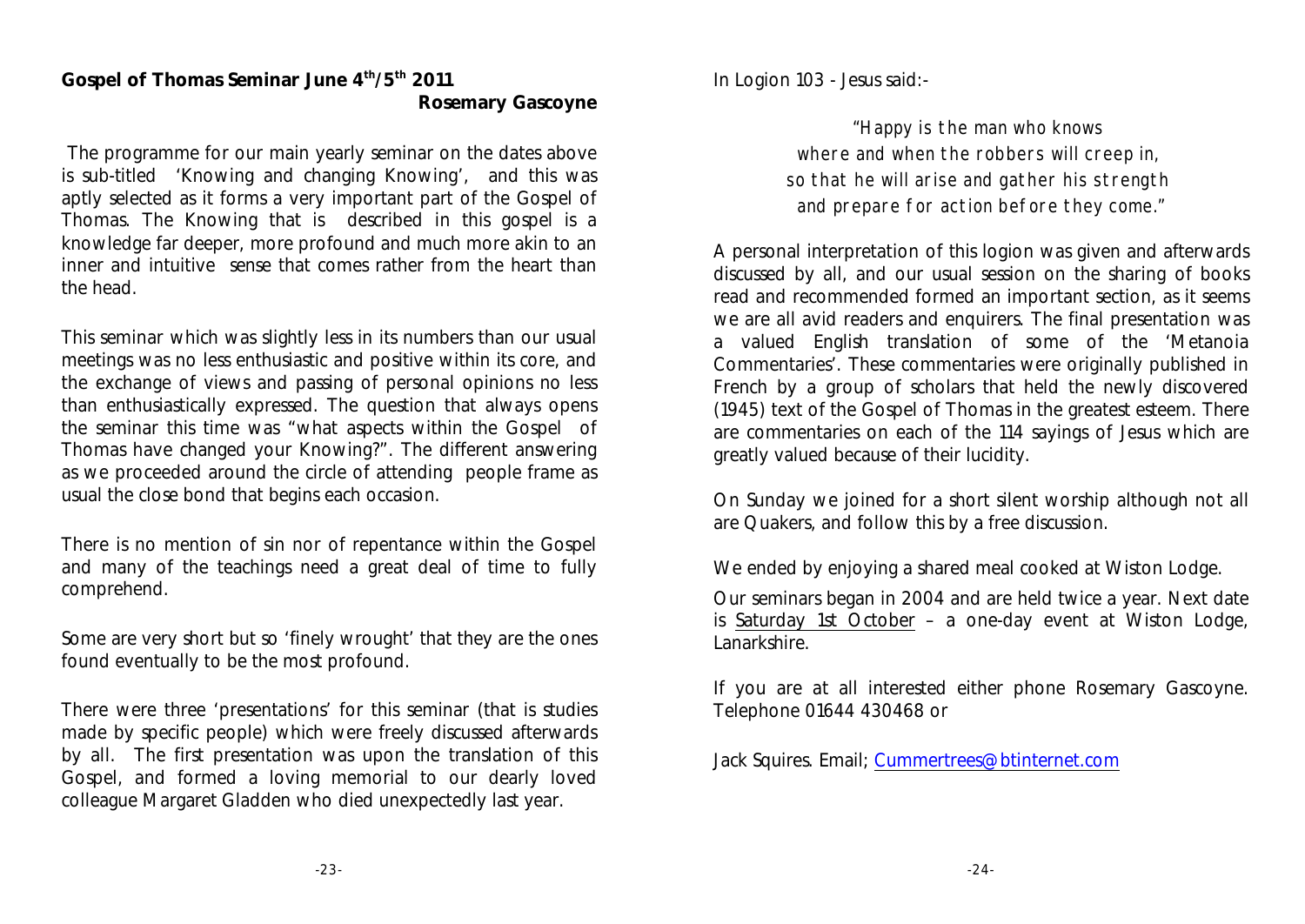### **Gospel of Thomas Seminar June**  $4^{\text{th}}/5^{\text{th}}$  **2011 Rosemary Gascoyne**

 The programme for our main yearly seminar on the dates above is sub-titled 'Knowing and changing Knowing', and this was aptly selected as it forms a very important part of the Gospel of Thomas. The Knowing that is described in this gospel is a knowledge far deeper, more profound and much more akin to an inner and intuitive sense that comes rather from the heart than the head.

This seminar which was slightly less in its numbers than our usual meetings was no less enthusiastic and positive within its core, and the exchange of views and passing of personal opinions no less than enthusiastically expressed. The question that always opens the seminar this time was "what aspects within the Gospel of Thomas have changed your Knowing?". The different answering as we proceeded around the circle of attending people frame as usual the close bond that begins each occasion.

There is no mention of sin nor of repentance within the Gospel and many of the teachings need a great deal of time to fully comprehend.

Some are very short but so 'finely wrought' that they are the ones found eventually to be the most profound.

There were three 'presentations' for this seminar (that is studies made by specific people) which were freely discussed afterwards by all. The first presentation was upon the translation of this Gospel, and formed a loving memorial to our dearly loved colleague Margaret Gladden who died unexpectedly last year.

In Logion 103 - Jesus said:-

"Happy is the man who knows where and when the robbers will creep in, so that he will arise and gather his strength and prepare for action before they come."

A personal interpretation of this logion was given and afterwards discussed by all, and our usual session on the sharing of books read and recommended formed an important section, as it seems we are all avid readers and enquirers. The final presentation was a valued English translation of some of the 'Metanoia Commentaries'. These commentaries were originally published in French by a group of scholars that held the newly discovered (1945) text of the Gospel of Thomas in the greatest esteem. There are commentaries on each of the 114 sayings of Jesus which are greatly valued because of their lucidity.

On Sunday we joined for a short silent worship although not all are Quakers, and follow this by a free discussion.

We ended by enjoying a shared meal cooked at Wiston Lodge.

Our seminars began in 2004 and are held twice a year. Next date is Saturday 1st October – a one-day event at Wiston Lodge, Lanarkshire.

If you are at all interested either phone Rosemary Gascoyne. Telephone 01644 430468 or

Jack Squires. Email; [Cummertrees@btinternet.com](mailto:Cummertrees@btinternet.com)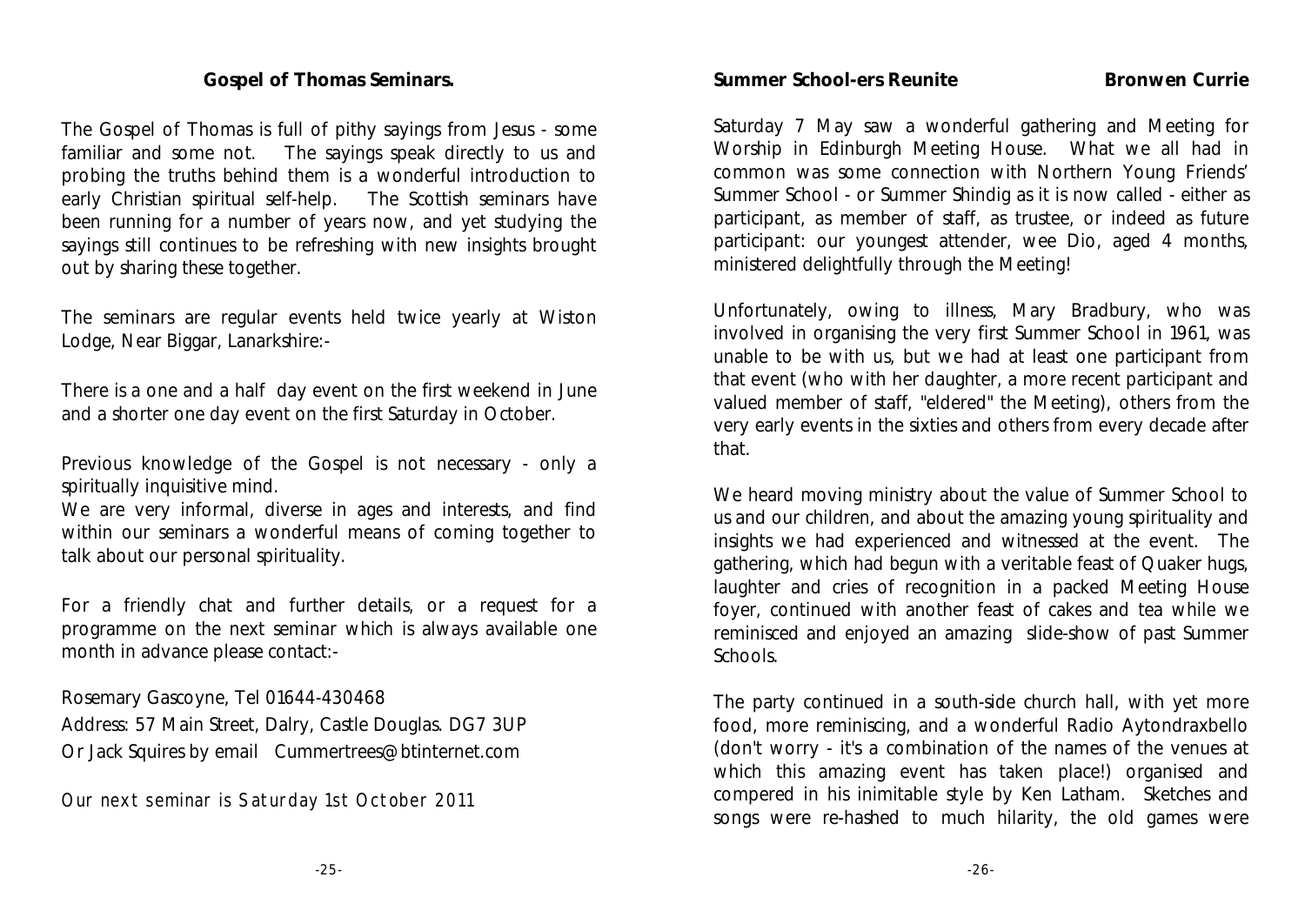### **Gospel of Thomas Seminars.**

The Gospel of Thomas is full of pithy sayings from Jesus - some familiar and some not. The sayings speak directly to us and probing the truths behind them is a wonderful introduction to early Christian spiritual self-help. The Scottish seminars have been running for a number of years now, and yet studying the sayings still continues to be refreshing with new insights brought out by sharing these together.

The seminars are regular events held twice yearly at Wiston Lodge, Near Biggar, Lanarkshire:-

There is a one and a half day event on the first weekend in June and a shorter one day event on the first Saturday in October.

Previous knowledge of the Gospel is not necessary - only a spiritually inquisitive mind.

We are very informal, diverse in ages and interests, and find within our seminars a wonderful means of coming together to talk about our personal spirituality.

For a friendly chat and further details, or a request for a programme on the next seminar which is always available one month in advance please contact:-

Rosemary Gascoyne, Tel 01644-430468

Address: 57 Main Street, Dalry, Castle Douglas. DG7 3UP Or Jack Squires by email Cummertrees@btinternet.com

Our next seminar is Saturday 1st October 2011

**Summer School-ers Reunite Bronwen Currie** 

Saturday 7 May saw a wonderful gathering and Meeting for Worship in Edinburgh Meeting House. What we all had in common was some connection with Northern Young Friends' Summer School - or Summer Shindig as it is now called - either as participant, as member of staff, as trustee, or indeed as future participant: our youngest attender, wee Dio, aged 4 months, ministered delightfully through the Meeting!

Unfortunately, owing to illness, Mary Bradbury, who was involved in organising the very first Summer School in 1961, was unable to be with us, but we had at least one participant from that event (who with her daughter, a more recent participant and valued member of staff, "eldered" the Meeting), others from the very early events in the sixties and others from every decade after that.

We heard moving ministry about the value of Summer School to us and our children, and about the amazing young spirituality and insights we had experienced and witnessed at the event. The gathering, which had begun with a veritable feast of Quaker hugs, laughter and cries of recognition in a packed Meeting House foyer, continued with another feast of cakes and tea while we reminisced and enjoyed an amazing slide-show of past Summer Schools.

The party continued in a south-side church hall, with yet more food, more reminiscing, and a wonderful Radio Aytondraxbello (don't worry - it's a combination of the names of the venues at which this amazing event has taken place!) organised and compered in his inimitable style by Ken Latham. Sketches and songs were re-hashed to much hilarity, the old games were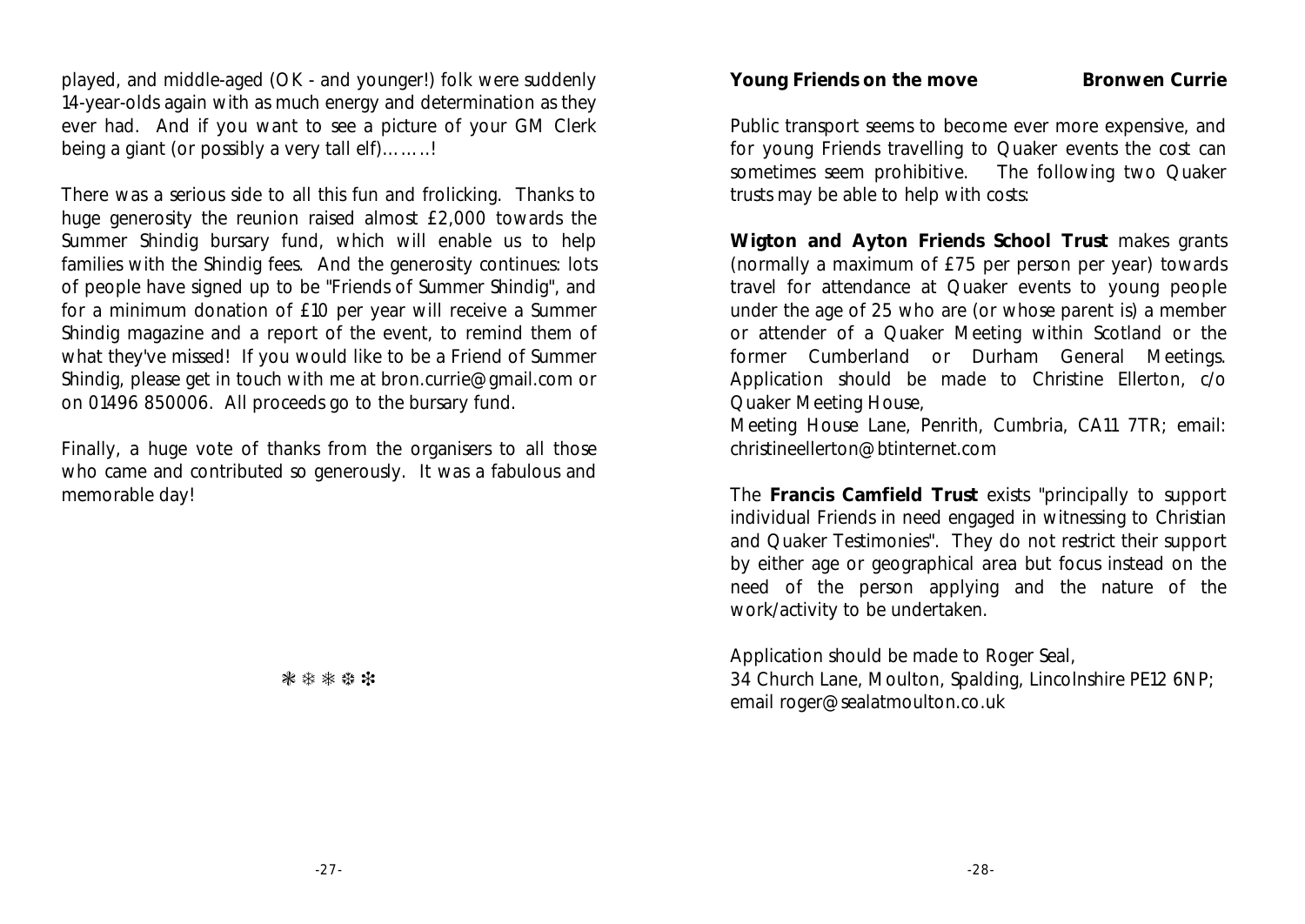played, and middle-aged (OK - and younger!) folk were suddenly 14-year-olds again with as much energy and determination as they ever had. And if you want to see a picture of your GM Clerk being a giant (or possibly a very tall elf)…….!

There was a serious side to all this fun and frolicking. Thanks to huge generosity the reunion raised almost £2,000 towards the Summer Shindig bursary fund, which will enable us to help families with the Shindig fees. And the generosity continues: lots of people have signed up to be "Friends of Summer Shindig", and for a minimum donation of £10 per year will receive a Summer Shindig magazine and a report of the event, to remind them of what they've missed! If you would like to be a Friend of Summer Shindig, please get in touch with me at bron.currie@gmail.com or on 01496 850006. All proceeds go to the bursary fund.

Finally, a huge vote of thanks from the organisers to all those who came and contributed so generously. It was a fabulous and memorable day!

**Young Friends on the move Bronwen Currie**

Public transport seems to become ever more expensive, and for young Friends travelling to Quaker events the cost can sometimes seem prohibitive. The following two Quaker trusts may be able to help with costs:

**Wigton and Ayton Friends School Trust** makes grants (normally a maximum of £75 per person per year) towards travel for attendance at Quaker events to young people under the age of 25 who are (or whose parent is) a member or attender of a Quaker Meeting within Scotland or the former Cumberland or Durham General Meetings. Application should be made to Christine Ellerton, c/o Quaker Meeting House,

Meeting House Lane, Penrith, Cumbria, CA11 7TR; email: christineellerton@btinternet.com

The **Francis Camfield Trust** exists "principally to support individual Friends in need engaged in witnessing to Christian and Quaker Testimonies". They do not restrict their support by either age or geographical area but focus instead on the need of the person applying and the nature of the work/activity to be undertaken.

Application should be made to Roger Seal, 34 Church Lane, Moulton, Spalding, Lincolnshire PE12 6NP; email roger@sealatmoulton.co.uk

\*\*\*\*\*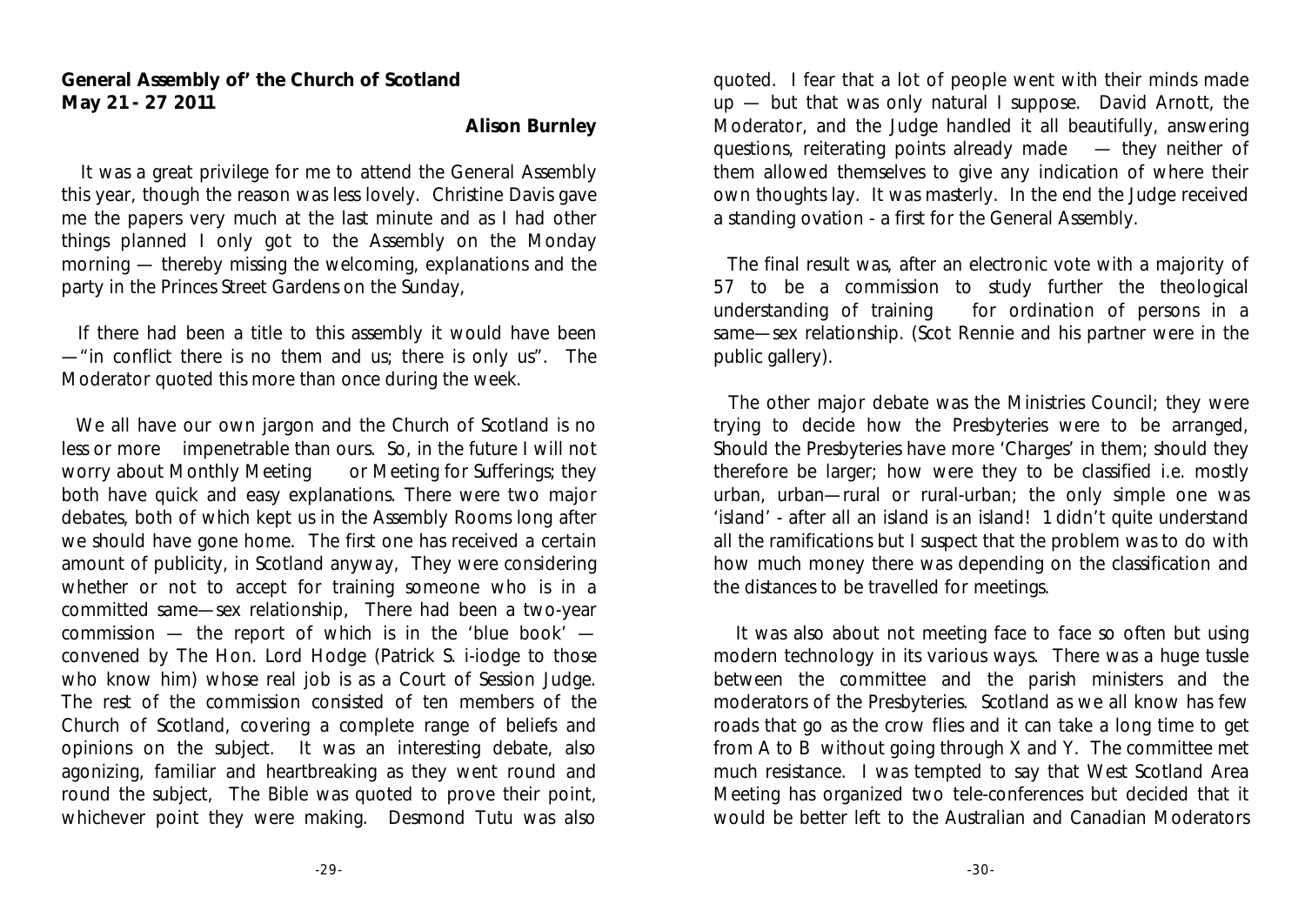### **General Assembly of' the Church of Scotland May 21 - 27 2011**

**Alison Burnley**

 It was a great privilege for me to attend the General Assembly this year, though the reason was less lovely. Christine Davis gave me the papers very much at the last minute and as I had other things planned I only got to the Assembly on the Monday morning — thereby missing the welcoming, explanations and the party in the Princes Street Gardens on the Sunday,

 If there had been a title to this assembly it would have been —"in conflict there is no them and us; there is only us". The Moderator quoted this more than once during the week.

We all have our own jargon and the Church of Scotland is no less or more impenetrable than ours. So, in the future I will not worry about Monthly Meeting or Meeting for Sufferings; they both have quick and easy explanations. There were two major debates, both of which kept us in the Assembly Rooms long after we should have gone home. The first one has received a certain amount of publicity, in Scotland anyway, They were considering whether or not to accept for training someone who is in a committed same—sex relationship, There had been a two-year commission — the report of which is in the 'blue book' convened by The Hon. Lord Hodge (Patrick S. i-iodge to those who know him) whose real job is as a Court of Session Judge. The rest of the commission consisted of ten members of the Church of Scotland, covering a complete range of beliefs and opinions on the subject. It was an interesting debate, also agonizing, familiar and heartbreaking as they went round and round the subject, The Bible was quoted to prove their point, whichever point they were making. Desmond Tutu was also

quoted. I fear that a lot of people went with their minds made up — but that was only natural I suppose. David Arnott, the Moderator, and the Judge handled it all beautifully, answering questions, reiterating points already made — they neither of them allowed themselves to give any indication of where their own thoughts lay. It was masterly. In the end the Judge received a standing ovation - a first for the General Assembly.

 The final result was, after an electronic vote with a majority of 57 to be a commission to study further the theological understanding of training for ordination of persons in a same—sex relationship. (Scot Rennie and his partner were in the public gallery).

 The other major debate was the Ministries Council; they were trying to decide how the Presbyteries were to be arranged, Should the Presbyteries have more 'Charges' in them; should they therefore be larger; how were they to be classified i.e. mostly urban, urban—rural or rural-urban; the only simple one was 'island' - after all an island is an island! 1 didn't quite understand all the ramifications but I suspect that the problem was to do with how much money there was depending on the classification and the distances to be travelled for meetings.

 It was also about not meeting face to face so often but using modern technology in its various ways. There was a huge tussle between the committee and the parish ministers and the moderators of the Presbyteries. Scotland as we all know has few roads that go as the crow flies and it can take a long time to get from A to B without going through X and Y. The committee met much resistance. I was tempted to say that West Scotland Area Meeting has organized two tele-conferences but decided that it would be better left to the Australian and Canadian Moderators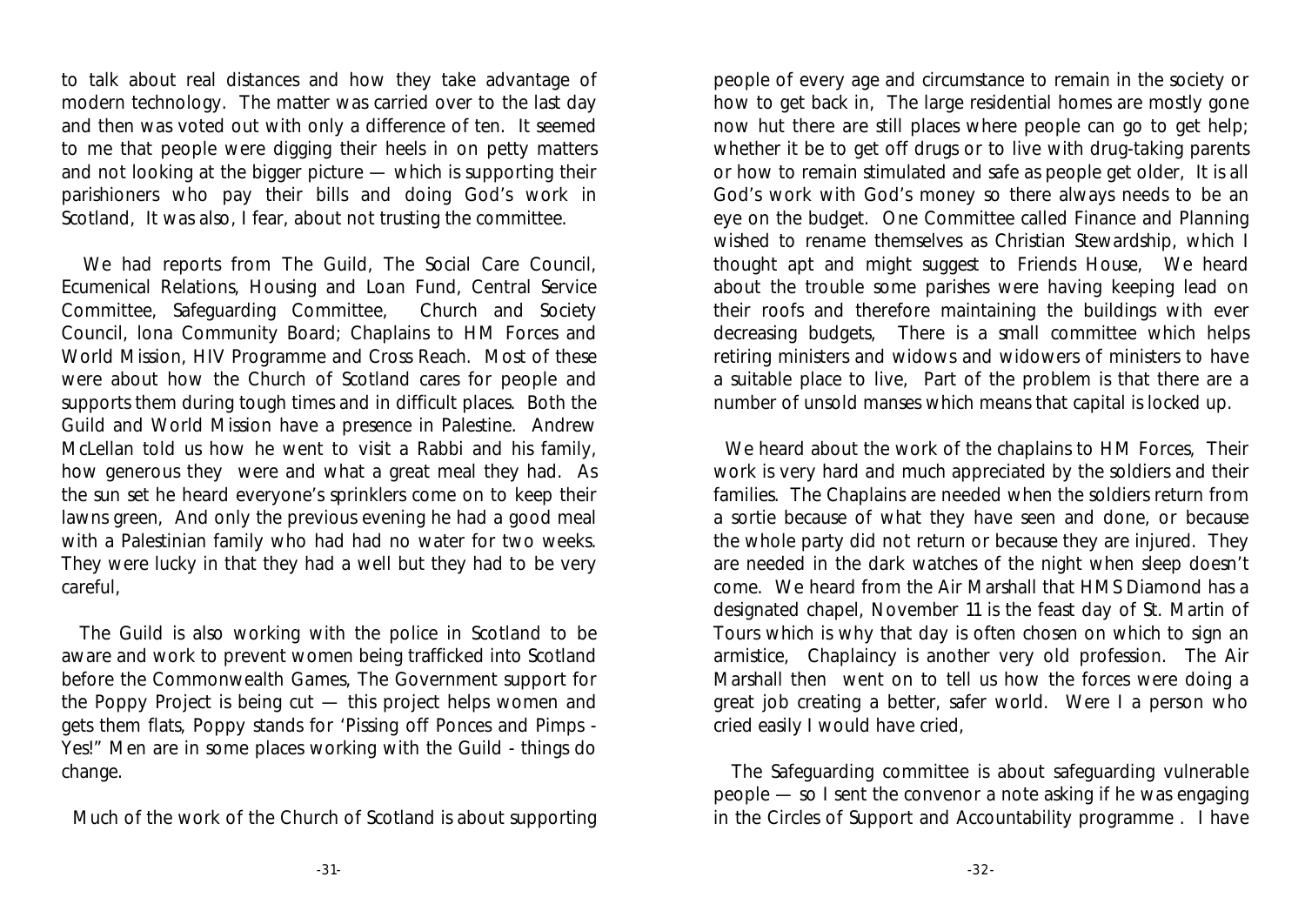to talk about real distances and how they take advantage of modern technology. The matter was carried over to the last day and then was voted out with only a difference of ten. It seemed to me that people were digging their heels in on petty matters and not looking at the bigger picture — which is supporting their parishioners who pay their bills and doing God's work in Scotland, It was also, I fear, about not trusting the committee.

 We had reports from The Guild, The Social Care Council, Ecumenical Relations, Housing and Loan Fund, Central Service Committee, Safeguarding Committee, Church and Society Council, lona Community Board; Chaplains to HM Forces and World Mission, HIV Programme and Cross Reach. Most of these were about how the Church of Scotland cares for people and supports them during tough times and in difficult places. Both the Guild and World Mission have a presence in Palestine. Andrew McLellan told us how he went to visit a Rabbi and his family, how generous they were and what a great meal they had. As the sun set he heard everyone's sprinklers come on to keep their lawns green, And only the previous evening he had a good meal with a Palestinian family who had had no water for two weeks. They were lucky in that they had a well but they had to be very careful,

 The Guild is also working with the police in Scotland to be aware and work to prevent women being trafficked into Scotland before the Commonwealth Games, The Government support for the Poppy Project is being cut — this project helps women and gets them flats, Poppy stands for 'Pissing off Ponces and Pimps - Yes!" Men are in some places working with the Guild - things do change.

Much of the work of the Church of Scotland is about supporting

people of every age and circumstance to remain in the society or how to get back in, The large residential homes are mostly gone now hut there are still places where people can go to get help; whether it be to get off drugs or to live with drug-taking parents or how to remain stimulated and safe as people get older, It is all God's work with God's money so there always needs to be an eye on the budget. One Committee called Finance and Planning wished to rename themselves as Christian Stewardship, which I thought apt and might suggest to Friends House, We heard about the trouble some parishes were having keeping lead on their roofs and therefore maintaining the buildings with ever decreasing budgets, There is a small committee which helps retiring ministers and widows and widowers of ministers to have a suitable place to live, Part of the problem is that there are a number of unsold manses which means that capital is locked up.

 We heard about the work of the chaplains to HM Forces, Their work is very hard and much appreciated by the soldiers and their families. The Chaplains are needed when the soldiers return from a sortie because of what they have seen and done, or because the whole party did not return or because they are injured. They are needed in the dark watches of the night when sleep doesn't come. We heard from the Air Marshall that HMS Diamond has a designated chapel, November 11 is the feast day of St. Martin of Tours which is why that day is often chosen on which to sign an armistice, Chaplaincy is another very old profession. The Air Marshall then went on to tell us how the forces were doing a great job creating a better, safer world. Were I a person who cried easily I would have cried,

 The Safeguarding committee is about safeguarding vulnerable people — so I sent the convenor a note asking if he was engaging in the Circles of Support and Accountability programme . I have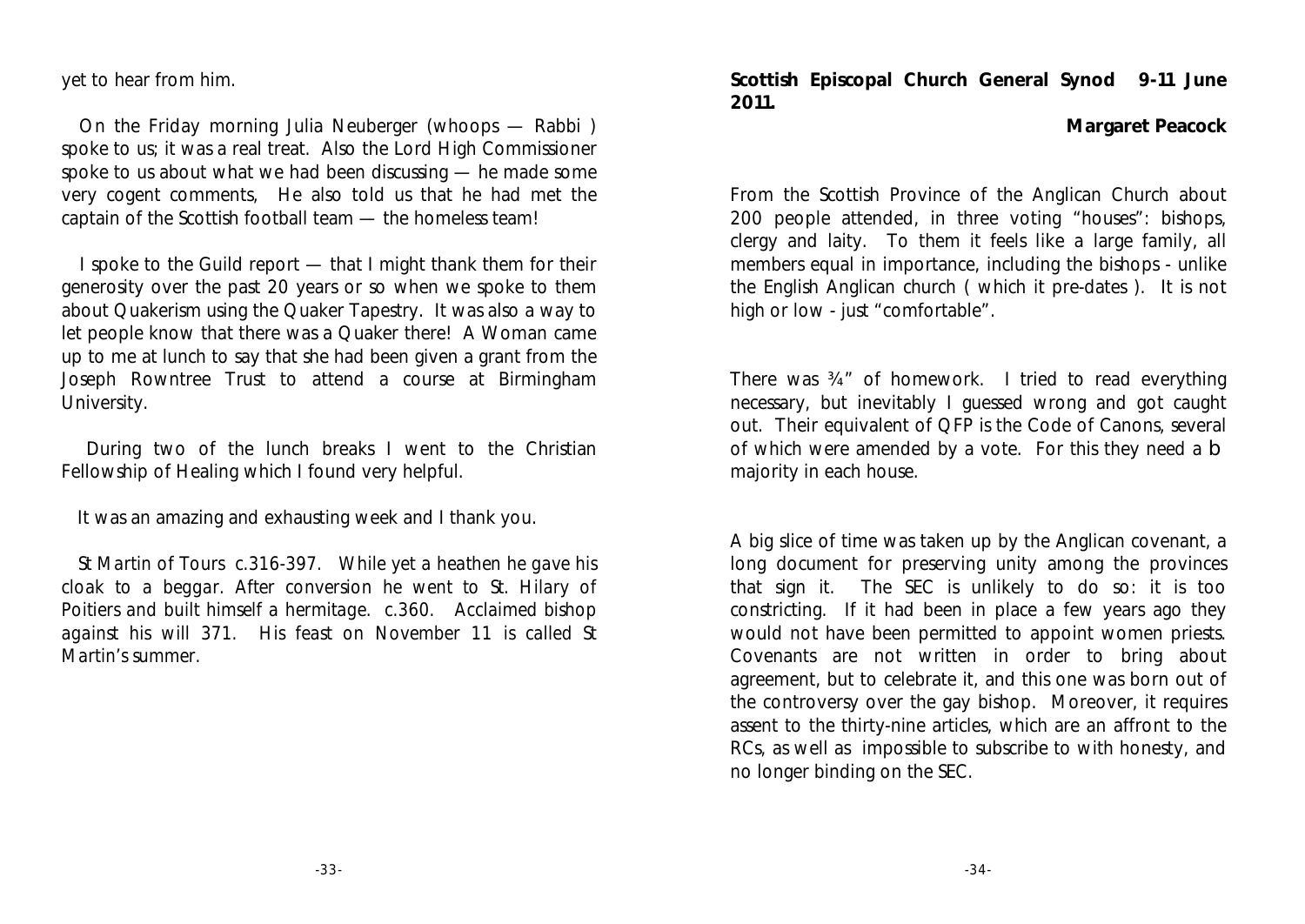yet to hear from him.

 On the Friday morning Julia Neuberger (whoops — Rabbi ) spoke to us; it was a real treat. Also the Lord High Commissioner spoke to us about what we had been discussing — he made some very cogent comments, He also told us that he had met the captain of the Scottish football team — the homeless team!

 I spoke to the Guild report — that I might thank them for their generosity over the past 20 years or so when we spoke to them about Quakerism using the Quaker Tapestry. It was also a way to let people know that there was a Quaker there! A Woman came up to me at lunch to say that she had been given a grant from the Joseph Rowntree Trust to attend a course at Birmingham University.

 During two of the lunch breaks I went to the Christian Fellowship of Healing which I found very helpful.

It was an amazing and exhausting week and I thank you.

 *St Martin of Tours c.316-397. While yet a heathen he gave his cloak to a beggar. After conversion he went to St. Hilary of Poitiers and built himself a hermitage. c.360. Acclaimed bishop against his will 371. His feast on November 11 is called St Martin's summer.* 

**Scottish Episcopal Church General Synod 9-11 June 2011.**

**Margaret Peacock**

From the Scottish Province of the Anglican Church about 200 people attended, in three voting "houses": bishops, clergy and laity. To them it feels like a large family, all members equal in importance, including the bishops - unlike the English Anglican church ( which it pre-dates ). It is not high or low - just "comfortable".

There was ¾" of homework. I tried to read everything necessary, but inevitably I guessed wrong and got caught out. Their equivalent of QFP is the Code of Canons, several of which were amended by a vote. For this they need a b majority in each house.

A big slice of time was taken up by the Anglican covenant, a long document for preserving unity among the provinces that sign it. The SEC is unlikely to do so: it is too constricting. If it had been in place a few years ago they would not have been permitted to appoint women priests. Covenants are not written in order to bring about agreement, but to celebrate it, and this one was born out of the controversy over the gay bishop. Moreover, it requires assent to the thirty-nine articles, which are an affront to the RCs, as well as impossible to subscribe to with honesty, and no longer binding on the SEC.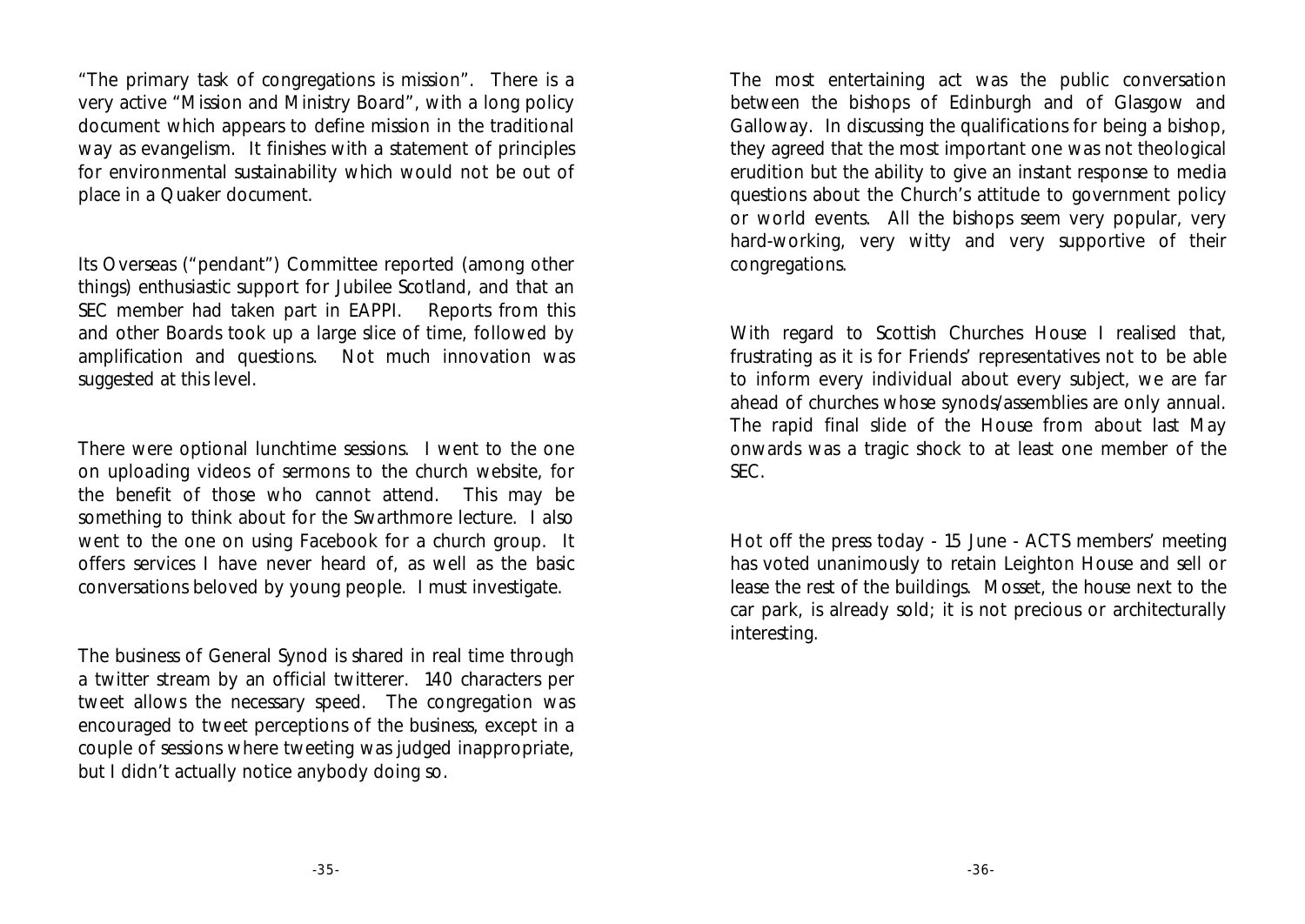"The primary task of congregations is mission". There is a very active "Mission and Ministry Board", with a long policy document which appears to define mission in the traditional way as evangelism. It finishes with a statement of principles for environmental sustainability which would not be out of place in a Quaker document.

Its Overseas ("pendant") Committee reported (among other things) enthusiastic support for Jubilee Scotland, and that an SEC member had taken part in EAPPI. Reports from this and other Boards took up a large slice of time, followed by amplification and questions. Not much innovation was suggested at this level.

There were optional lunchtime sessions. I went to the one on uploading videos of sermons to the church website, for the benefit of those who cannot attend. This may be something to think about for the Swarthmore lecture. I also went to the one on using Facebook for a church group. It offers services I have never heard of, as well as the basic conversations beloved by young people. I must investigate.

The business of General Synod is shared in real time through a twitter stream by an official twitterer. 140 characters per tweet allows the necessary speed. The congregation was encouraged to tweet perceptions of the business, except in a couple of sessions where tweeting was judged inappropriate, but I didn't actually notice anybody doing so.

The most entertaining act was the public conversation between the bishops of Edinburgh and of Glasgow and Galloway. In discussing the qualifications for being a bishop, they agreed that the most important one was not theological erudition but the ability to give an instant response to media questions about the Church's attitude to government policy or world events. All the bishops seem very popular, very hard-working, very witty and very supportive of their congregations.

With regard to Scottish Churches House I realised that, frustrating as it is for Friends' representatives not to be able to inform every individual about every subject, we are far ahead of churches whose synods/assemblies are only annual. The rapid final slide of the House from about last May onwards was a tragic shock to at least one member of the SEC.

Hot off the press today - 15 June - ACTS members' meeting has voted unanimously to retain Leighton House and sell or lease the rest of the buildings. Mosset, the house next to the car park, is already sold; it is not precious or architecturally interesting.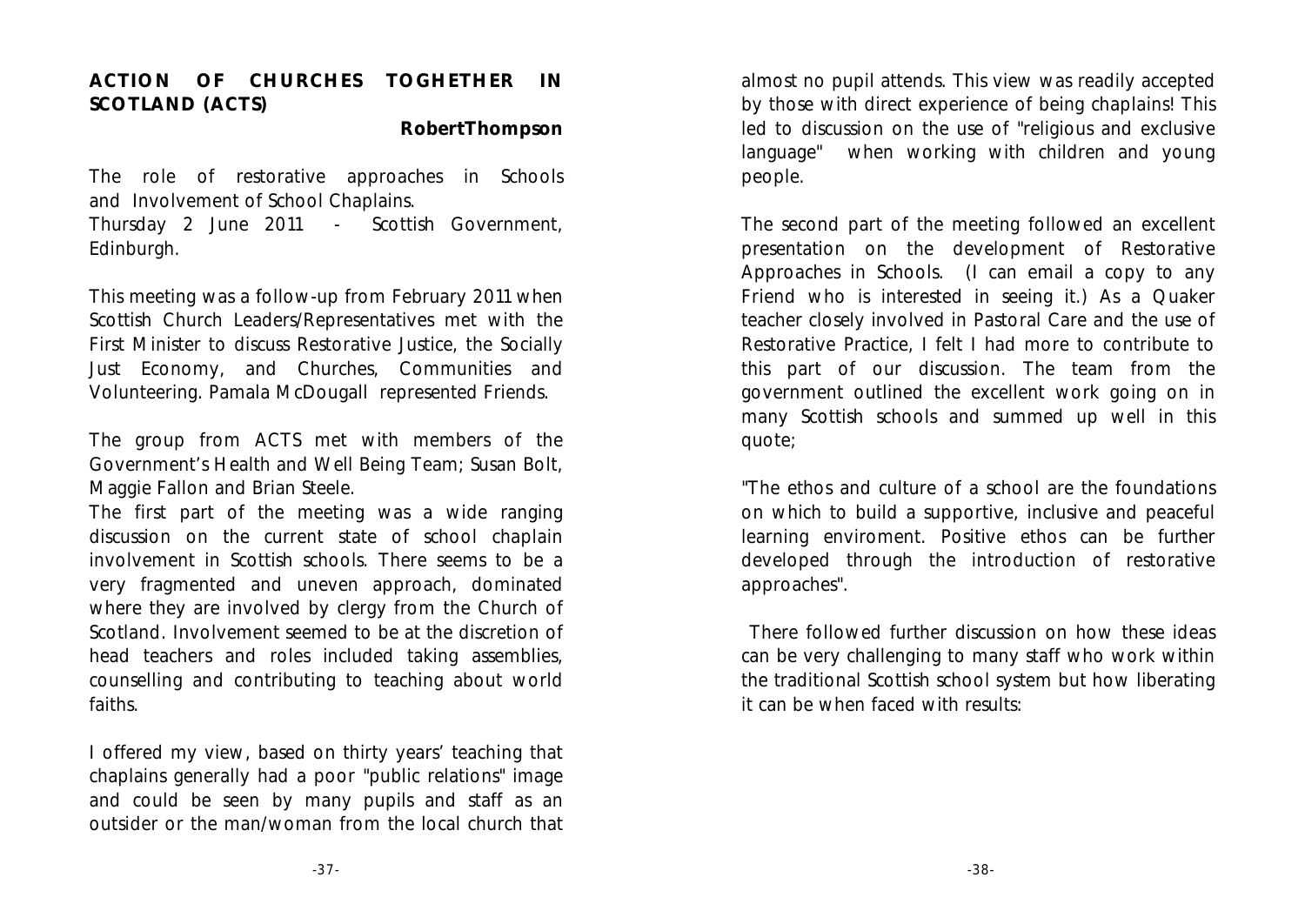### **ACTION OF CHURCHES TOGHETHER IN SCOTLAND (ACTS)**

**RobertThompson**

The role of restorative approaches in Schools and Involvement of School Chaplains.

Thursday 2 June 2011 - Scottish Government, Edinburgh.

This meeting was a follow-up from February 2011 when Scottish Church Leaders/Representatives met with the First Minister to discuss Restorative Justice, the Socially Just Economy, and Churches, Communities and Volunteering. Pamala McDougall represented Friends.

The group from ACTS met with members of the Government's Health and Well Being Team; Susan Bolt, Maggie Fallon and Brian Steele.

The first part of the meeting was a wide ranging discussion on the current state of school chaplain involvement in Scottish schools. There seems to be a very fragmented and uneven approach, dominated where they are involved by clergy from the Church of Scotland. Involvement seemed to be at the discretion of head teachers and roles included taking assemblies, counselling and contributing to teaching about world faiths.

I offered my view, based on thirty years' teaching that chaplains generally had a poor "public relations" image and could be seen by many pupils and staff as an outsider or the man/woman from the local church that almost no pupil attends. This view was readily accepted by those with direct experience of being chaplains! This led to discussion on the use of "religious and exclusive language" when working with children and young people.

The second part of the meeting followed an excellent presentation on the development of Restorative Approaches in Schools. (I can email a copy to any Friend who is interested in seeing it.) As a Quaker teacher closely involved in Pastoral Care and the use of Restorative Practice, I felt I had more to contribute to this part of our discussion. The team from the government outlined the excellent work going on in many Scottish schools and summed up well in this quote;

"The ethos and culture of a school are the foundations on which to build a supportive, inclusive and peaceful learning enviroment. Positive ethos can be further developed through the introduction of restorative approaches".

 There followed further discussion on how these ideas can be very challenging to many staff who work within the traditional Scottish school system but how liberating it can be when faced with results: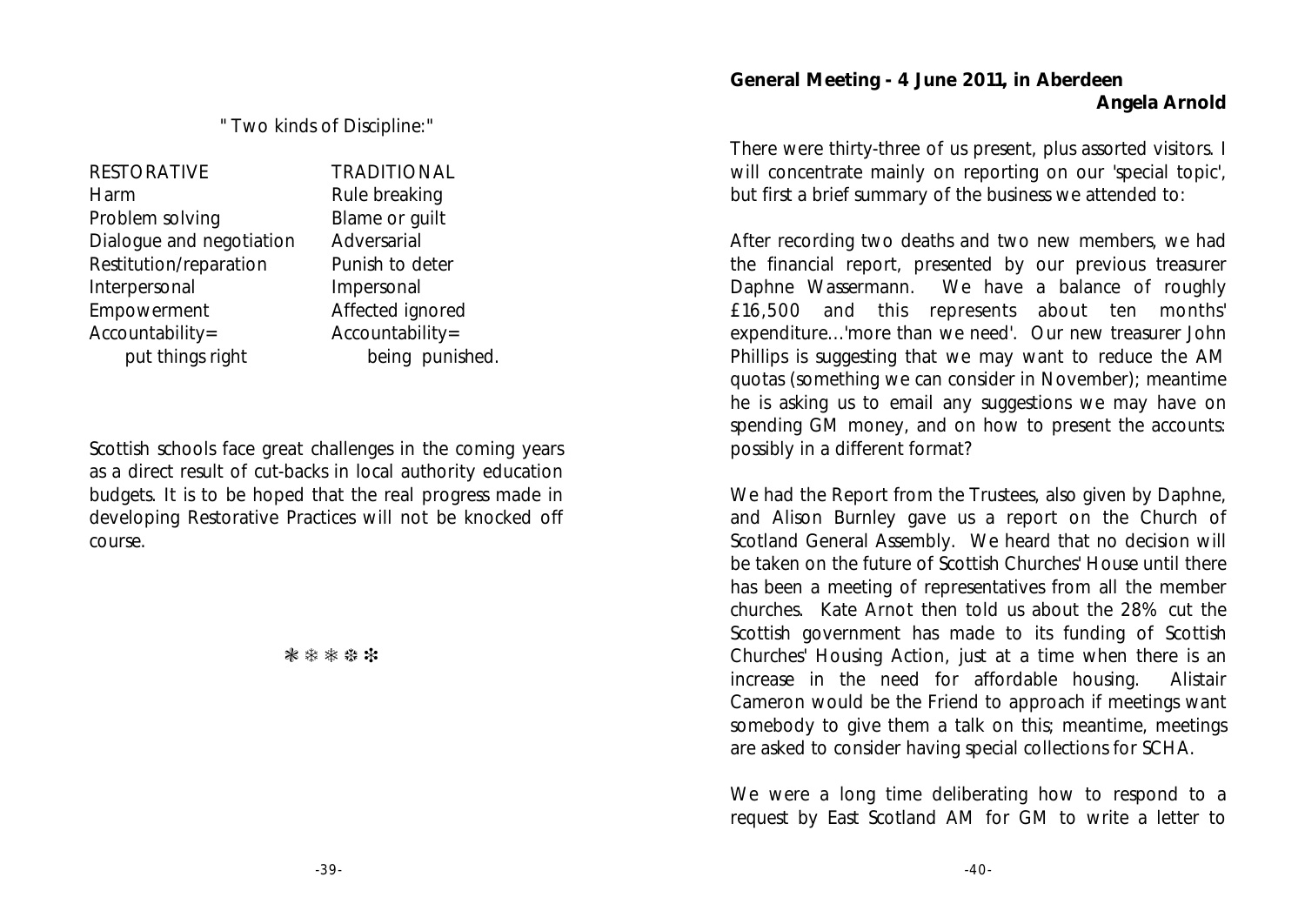" Two kinds of Discipline:"

RESTORATIVE Harm Problem solving Dialogue and negotiation Restitution/reparation Interpersonal Empowerment Accountability= put things right

TRADITIONAL Rule breaking Blame or guilt Adversarial Punish to deter Impersonal Affected ignored Accountability= being punished.

Scottish schools face great challenges in the coming years as a direct result of cut-backs in local authority education budgets. It is to be hoped that the real progress made in developing Restorative Practices will not be knocked off course.

\*\*\*\*\*

**General Meeting - 4 June 2011, in Aberdeen Angela Arnold**

There were thirty-three of us present, plus assorted visitors. I will concentrate mainly on reporting on our 'special topic', but first a brief summary of the business we attended to:

After recording two deaths and two new members, we had the financial report, presented by our previous treasurer Daphne Wassermann. We have a balance of roughly £16,500 and this represents about ten months' expenditure...'more than we need'. Our new treasurer John Phillips is suggesting that we may want to reduce the AM quotas (something we can consider in November); meantime he is asking us to email any suggestions we may have on spending GM money, and on how to present the accounts: possibly in a different format?

We had the Report from the Trustees, also given by Daphne, and Alison Burnley gave us a report on the Church of Scotland General Assembly. We heard that no decision will be taken on the future of Scottish Churches' House until there has been a meeting of representatives from all the member churches. Kate Arnot then told us about the 28% cut the Scottish government has made to its funding of Scottish Churches' Housing Action, just at a time when there is an increase in the need for affordable housing. Alistair Cameron would be the Friend to approach if meetings want somebody to give them a talk on this; meantime, meetings are asked to consider having special collections for SCHA.

We were a long time deliberating how to respond to a request by East Scotland AM for GM to write a letter to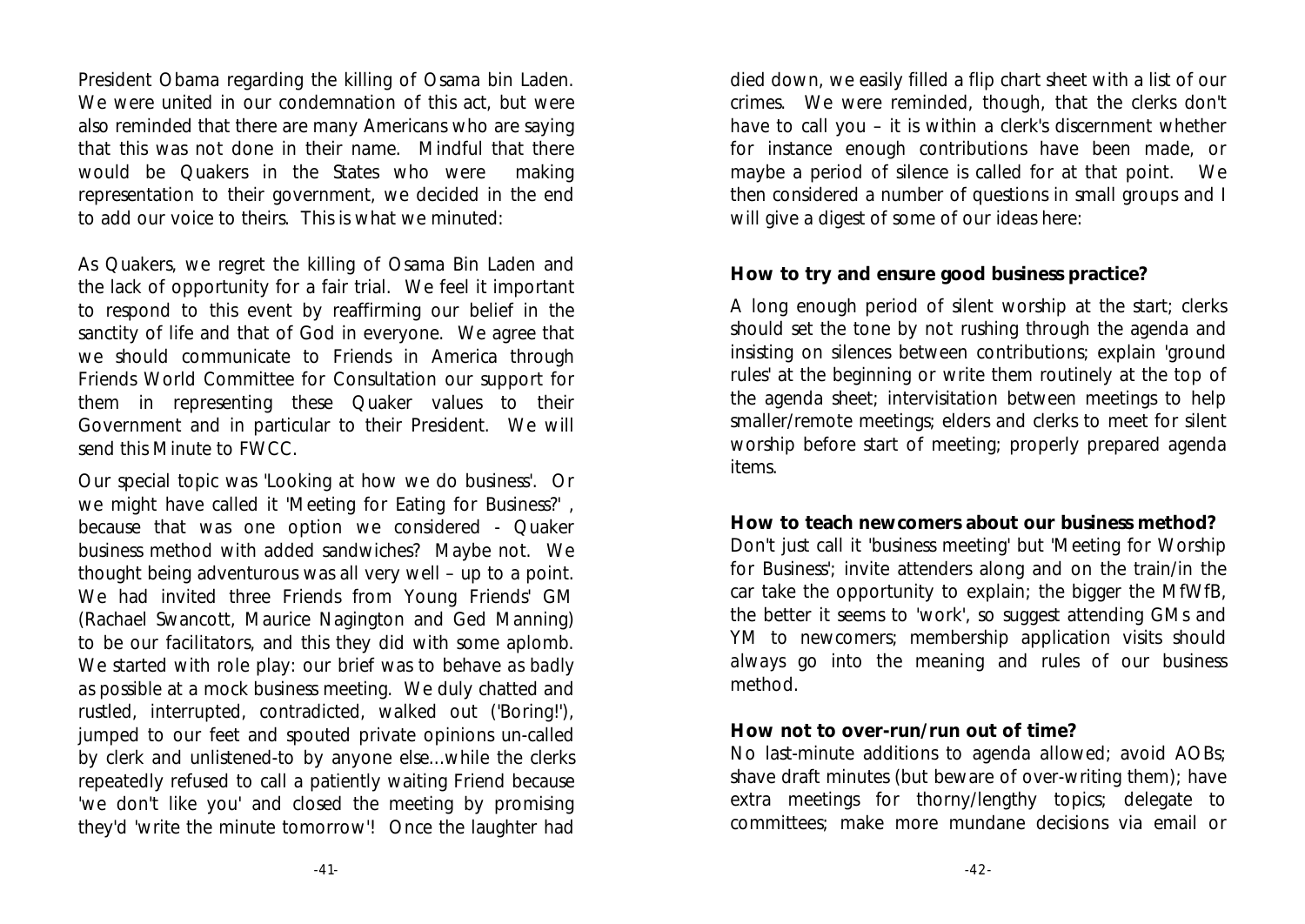President Obama regarding the killing of Osama bin Laden. We were united in our condemnation of this act, but were also reminded that there are many Americans who are saying that this was not done in their name. Mindful that there would be Quakers in the States who were making representation to their government, we decided in the end to add our voice to theirs. This is what we minuted:

As Quakers, we regret the killing of Osama Bin Laden and the lack of opportunity for a fair trial. We feel it important to respond to this event by reaffirming our belief in the sanctity of life and that of God in everyone. We agree that we should communicate to Friends in America through Friends World Committee for Consultation our support for them in representing these Quaker values to their Government and in particular to their President. We will send this Minute to FWCC.

Our special topic was 'Looking at how we do business'. Or we might have called it 'Meeting for Eating for Business?' , because that was one option we considered - Quaker business method with added sandwiches? Maybe not. We thought being adventurous was all very well – up to a point. We had invited three Friends from Young Friends' GM (Rachael Swancott, Maurice Nagington and Ged Manning) to be our facilitators, and this they did with some aplomb. We started with role play: our brief was to behave *as badly as possible* at a mock business meeting. We duly chatted and rustled, interrupted, contradicted, walked out ('Boring!'), jumped to our feet and spouted private opinions un-called by clerk and unlistened-to by anyone else...while the clerks repeatedly refused to call a patiently waiting Friend because 'we don't like you' and closed the meeting by promising they'd 'write the minute tomorrow'! Once the laughter had

died down, we easily filled a flip chart sheet with a list of our crimes. We were reminded, though, that the clerks don't *have* to call you – it is within a clerk's discernment whether for instance enough contributions have been made, or maybe a period of silence is called for at that point. We then considered a number of questions in small groups and I will give a digest of some of our ideas here:

**How to try and ensure good business practice?**

A long enough period of silent worship at the start; clerks should set the tone by not rushing through the agenda and insisting on silences between contributions; explain 'ground rules' at the beginning or write them routinely at the top of the agenda sheet; intervisitation between meetings to help smaller/remote meetings; elders and clerks to meet for silent worship before start of meeting; properly prepared agenda items.

**How to teach newcomers about our business method?** Don't just call it 'business meeting' but 'Meeting for Worship for Business'; invite attenders along and on the train/in the car take the opportunity to explain; the bigger the MfWfB, the better it seems to 'work', so suggest attending GMs and YM to newcomers; membership application visits should *always* go into the meaning and rules of our business method.

### **How not to over-run/run out of time?**

No last-minute additions to agenda allowed; avoid AOBs; shave draft minutes (but beware of *over-*writing them); have extra meetings for thorny/lengthy topics; delegate to committees; make more mundane decisions via email or